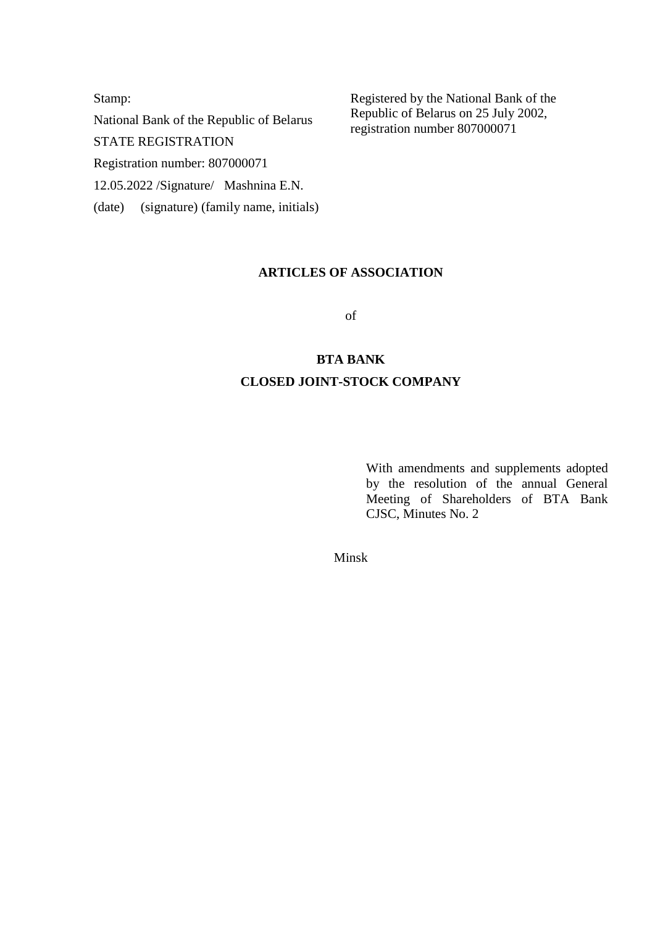Stamp: National Bank of the Republic of Belarus STATE REGISTRATION Registration number: 807000071 12.05.2022 /Signature/ Mashnina E.N. (date) (signature) (family name, initials) Registered by the National Bank of the Republic of Belarus on 25 July 2002, registration number 807000071

## **ARTICLES OF ASSOCIATION**

of

# **BTA BANK CLOSED JOINT-STOCK COMPANY**

With amendments and supplements adopted by the resolution of the annual General Meeting of Shareholders of BTA Bank CJSC, Minutes No. 2

Minsk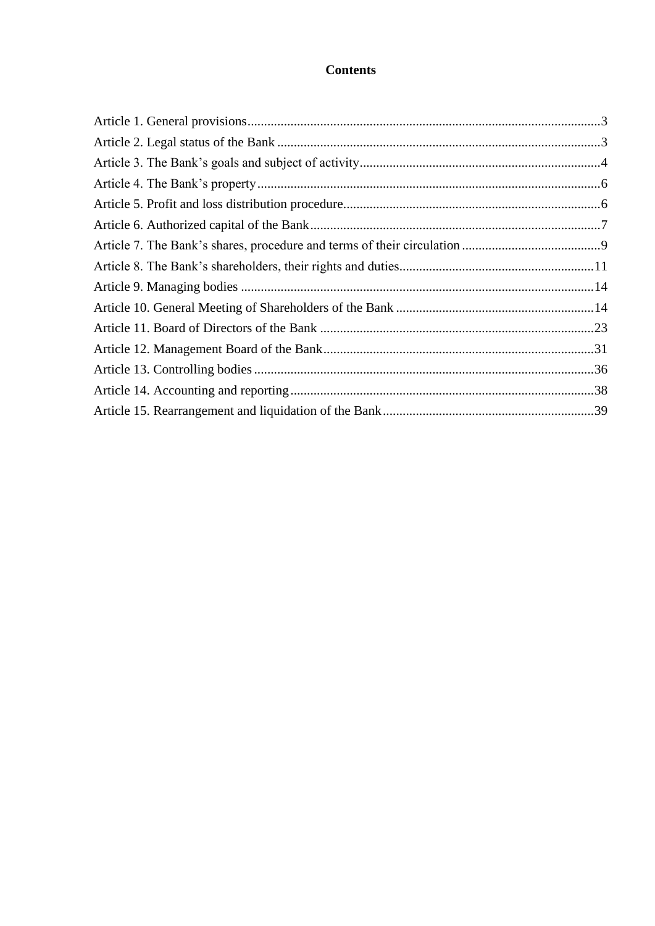## **Contents**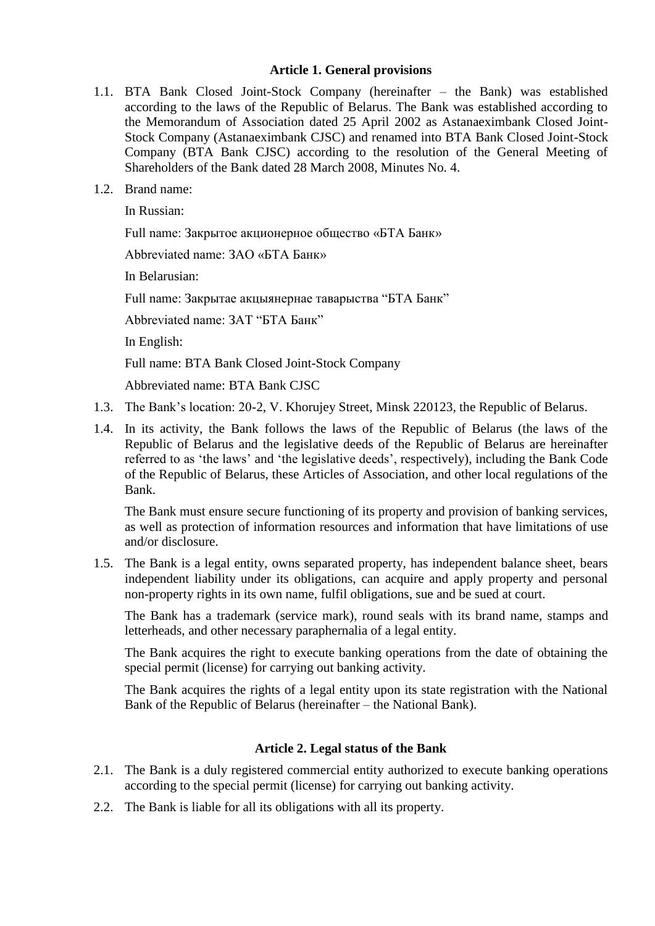#### **Article 1. General provisions**

- <span id="page-2-0"></span>1.1. BTA Bank Closed Joint-Stock Company (hereinafter – the Bank) was established according to the laws of the Republic of Belarus. The Bank was established according to the Memorandum of Association dated 25 April 2002 as Astanaeximbank Closed Joint-Stock Company (Astanaeximbank CJSC) and renamed into BTA Bank Closed Joint-Stock Company (BTA Bank CJSC) according to the resolution of the General Meeting of Shareholders of the Bank dated 28 March 2008, Minutes No. 4.
- 1.2. Brand name:

In Russian:

Full name: Закрытое акционерное общество «БТА Банк»

Abbreviated name: ЗАО «БТА Банк»

In Belarusian:

Full name: Закрытае акцыянернае таварыства "БТА Банк"

Abbreviated name: ЗАТ "БТА Банк"

In English:

Full name: BTA Bank Closed Joint-Stock Company

Abbreviated name: BTA Bank CJSC

- 1.3. The Bank"s location: 20-2, V. Khorujey Street, Minsk 220123, the Republic of Belarus.
- 1.4. In its activity, the Bank follows the laws of the Republic of Belarus (the laws of the Republic of Belarus and the legislative deeds of the Republic of Belarus are hereinafter referred to as "the laws" and "the legislative deeds", respectively), including the Bank Code of the Republic of Belarus, these Articles of Association, and other local regulations of the Bank.

The Bank must ensure secure functioning of its property and provision of banking services, as well as protection of information resources and information that have limitations of use and/or disclosure.

1.5. The Bank is a legal entity, owns separated property, has independent balance sheet, bears independent liability under its obligations, can acquire and apply property and personal non-property rights in its own name, fulfil obligations, sue and be sued at court.

The Bank has a trademark (service mark), round seals with its brand name, stamps and letterheads, and other necessary paraphernalia of a legal entity.

The Bank acquires the right to execute banking operations from the date of obtaining the special permit (license) for carrying out banking activity.

The Bank acquires the rights of a legal entity upon its state registration with the National Bank of the Republic of Belarus (hereinafter – the National Bank).

## **Article 2. Legal status of the Bank**

- <span id="page-2-1"></span>2.1. The Bank is a duly registered commercial entity authorized to execute banking operations according to the special permit (license) for carrying out banking activity.
- 2.2. The Bank is liable for all its obligations with all its property.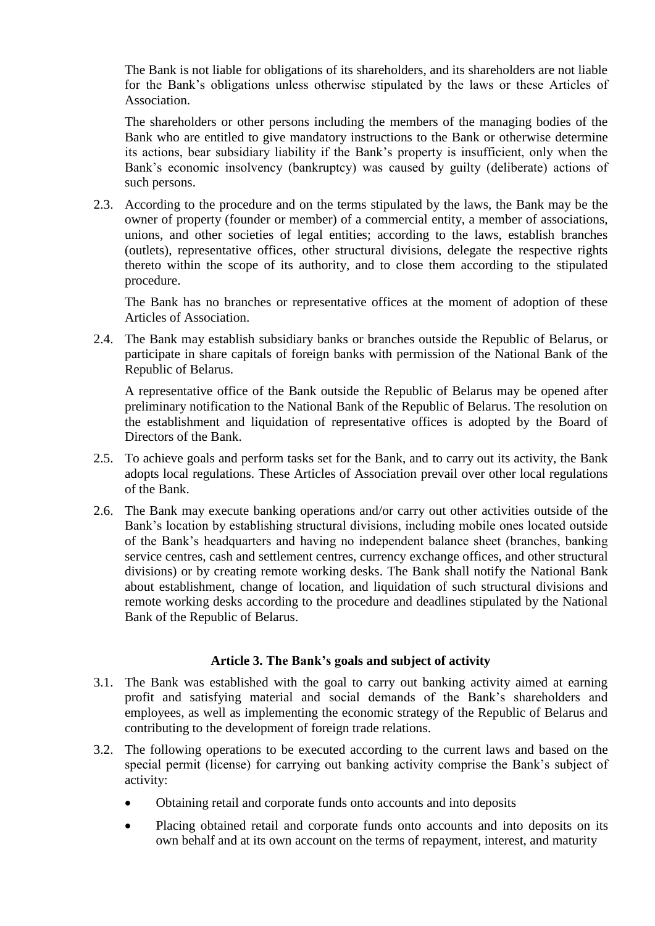The Bank is not liable for obligations of its shareholders, and its shareholders are not liable for the Bank"s obligations unless otherwise stipulated by the laws or these Articles of Association.

The shareholders or other persons including the members of the managing bodies of the Bank who are entitled to give mandatory instructions to the Bank or otherwise determine its actions, bear subsidiary liability if the Bank"s property is insufficient, only when the Bank's economic insolvency (bankruptcy) was caused by guilty (deliberate) actions of such persons.

2.3. According to the procedure and on the terms stipulated by the laws, the Bank may be the owner of property (founder or member) of a commercial entity, a member of associations, unions, and other societies of legal entities; according to the laws, establish branches (outlets), representative offices, other structural divisions, delegate the respective rights thereto within the scope of its authority, and to close them according to the stipulated procedure.

The Bank has no branches or representative offices at the moment of adoption of these Articles of Association.

2.4. The Bank may establish subsidiary banks or branches outside the Republic of Belarus, or participate in share capitals of foreign banks with permission of the National Bank of the Republic of Belarus.

A representative office of the Bank outside the Republic of Belarus may be opened after preliminary notification to the National Bank of the Republic of Belarus. The resolution on the establishment and liquidation of representative offices is adopted by the Board of Directors of the Bank.

- 2.5. To achieve goals and perform tasks set for the Bank, and to carry out its activity, the Bank adopts local regulations. These Articles of Association prevail over other local regulations of the Bank.
- 2.6. The Bank may execute banking operations and/or carry out other activities outside of the Bank"s location by establishing structural divisions, including mobile ones located outside of the Bank"s headquarters and having no independent balance sheet (branches, banking service centres, cash and settlement centres, currency exchange offices, and other structural divisions) or by creating remote working desks. The Bank shall notify the National Bank about establishment, change of location, and liquidation of such structural divisions and remote working desks according to the procedure and deadlines stipulated by the National Bank of the Republic of Belarus.

## **Article 3. The Bank's goals and subject of activity**

- <span id="page-3-0"></span>3.1. The Bank was established with the goal to carry out banking activity aimed at earning profit and satisfying material and social demands of the Bank"s shareholders and employees, as well as implementing the economic strategy of the Republic of Belarus and contributing to the development of foreign trade relations.
- 3.2. The following operations to be executed according to the current laws and based on the special permit (license) for carrying out banking activity comprise the Bank's subject of activity:
	- Obtaining retail and corporate funds onto accounts and into deposits
	- Placing obtained retail and corporate funds onto accounts and into deposits on its own behalf and at its own account on the terms of repayment, interest, and maturity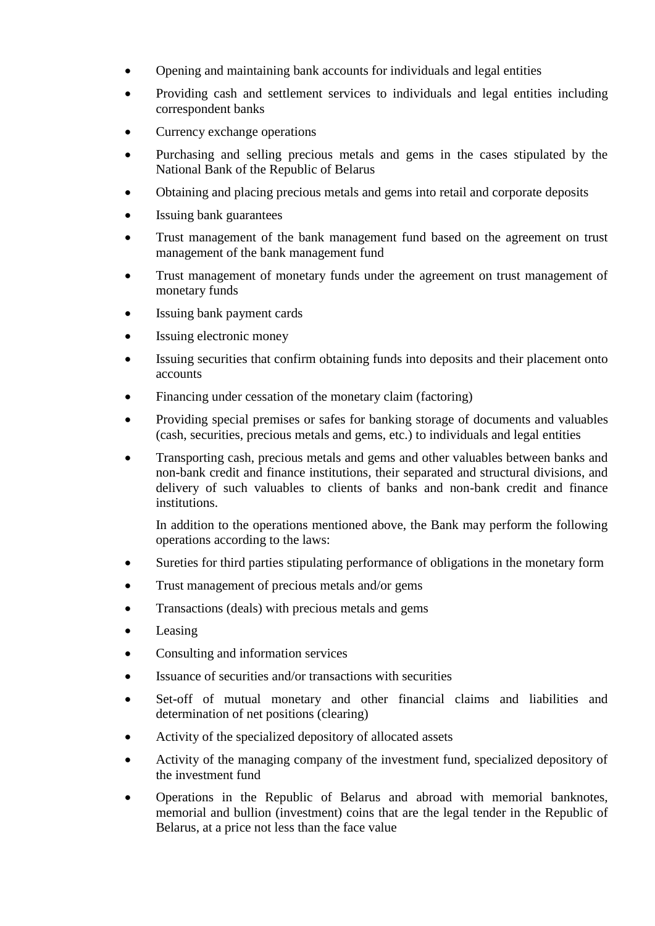- Opening and maintaining bank accounts for individuals and legal entities
- Providing cash and settlement services to individuals and legal entities including correspondent banks
- Currency exchange operations
- Purchasing and selling precious metals and gems in the cases stipulated by the National Bank of the Republic of Belarus
- Obtaining and placing precious metals and gems into retail and corporate deposits
- Issuing bank guarantees
- Trust management of the bank management fund based on the agreement on trust management of the bank management fund
- Trust management of monetary funds under the agreement on trust management of monetary funds
- Issuing bank payment cards
- Issuing electronic money
- Issuing securities that confirm obtaining funds into deposits and their placement onto accounts
- Financing under cessation of the monetary claim (factoring)
- Providing special premises or safes for banking storage of documents and valuables (cash, securities, precious metals and gems, etc.) to individuals and legal entities
- Transporting cash, precious metals and gems and other valuables between banks and non-bank credit and finance institutions, their separated and structural divisions, and delivery of such valuables to clients of banks and non-bank credit and finance institutions.

In addition to the operations mentioned above, the Bank may perform the following operations according to the laws:

- Sureties for third parties stipulating performance of obligations in the monetary form
- Trust management of precious metals and/or gems
- Transactions (deals) with precious metals and gems
- Leasing
- Consulting and information services
- Issuance of securities and/or transactions with securities
- Set-off of mutual monetary and other financial claims and liabilities and determination of net positions (clearing)
- Activity of the specialized depository of allocated assets
- Activity of the managing company of the investment fund, specialized depository of the investment fund
- Operations in the Republic of Belarus and abroad with memorial banknotes, memorial and bullion (investment) coins that are the legal tender in the Republic of Belarus, at a price not less than the face value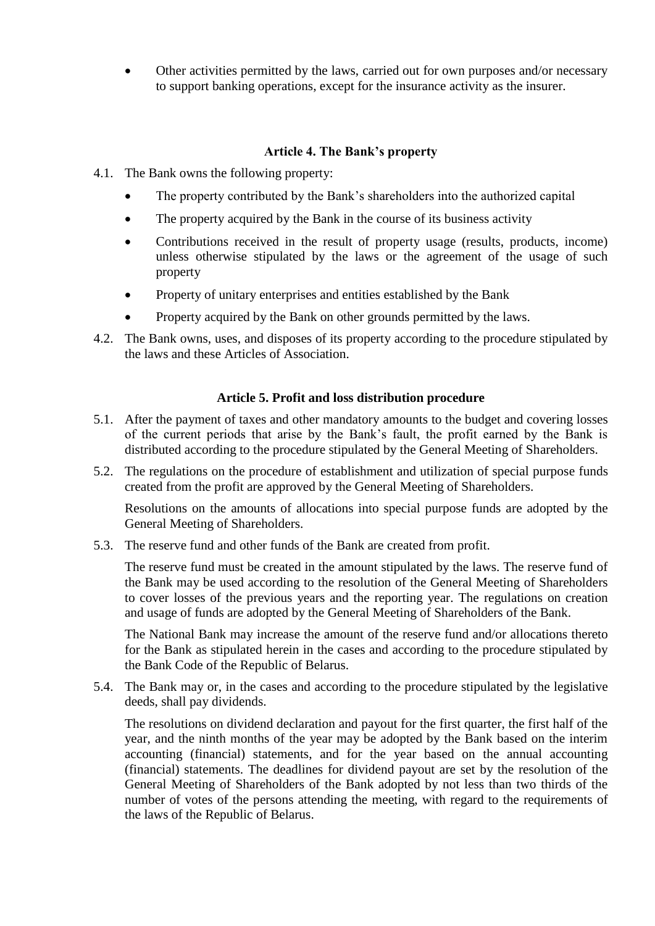Other activities permitted by the laws, carried out for own purposes and/or necessary to support banking operations, except for the insurance activity as the insurer.

## **Article 4. The Bank's property**

- <span id="page-5-0"></span>4.1. The Bank owns the following property:
	- The property contributed by the Bank"s shareholders into the authorized capital
	- The property acquired by the Bank in the course of its business activity
	- Contributions received in the result of property usage (results, products, income) unless otherwise stipulated by the laws or the agreement of the usage of such property
	- Property of unitary enterprises and entities established by the Bank
	- Property acquired by the Bank on other grounds permitted by the laws.
- 4.2. The Bank owns, uses, and disposes of its property according to the procedure stipulated by the laws and these Articles of Association.

## **Article 5. Profit and loss distribution procedure**

- <span id="page-5-1"></span>5.1. After the payment of taxes and other mandatory amounts to the budget and covering losses of the current periods that arise by the Bank"s fault, the profit earned by the Bank is distributed according to the procedure stipulated by the General Meeting of Shareholders.
- 5.2. The regulations on the procedure of establishment and utilization of special purpose funds created from the profit are approved by the General Meeting of Shareholders.

Resolutions on the amounts of allocations into special purpose funds are adopted by the General Meeting of Shareholders.

5.3. The reserve fund and other funds of the Bank are created from profit.

The reserve fund must be created in the amount stipulated by the laws. The reserve fund of the Bank may be used according to the resolution of the General Meeting of Shareholders to cover losses of the previous years and the reporting year. The regulations on creation and usage of funds are adopted by the General Meeting of Shareholders of the Bank.

The National Bank may increase the amount of the reserve fund and/or allocations thereto for the Bank as stipulated herein in the cases and according to the procedure stipulated by the Bank Code of the Republic of Belarus.

5.4. The Bank may or, in the cases and according to the procedure stipulated by the legislative deeds, shall pay dividends.

The resolutions on dividend declaration and payout for the first quarter, the first half of the year, and the ninth months of the year may be adopted by the Bank based on the interim accounting (financial) statements, and for the year based on the annual accounting (financial) statements. The deadlines for dividend payout are set by the resolution of the General Meeting of Shareholders of the Bank adopted by not less than two thirds of the number of votes of the persons attending the meeting, with regard to the requirements of the laws of the Republic of Belarus.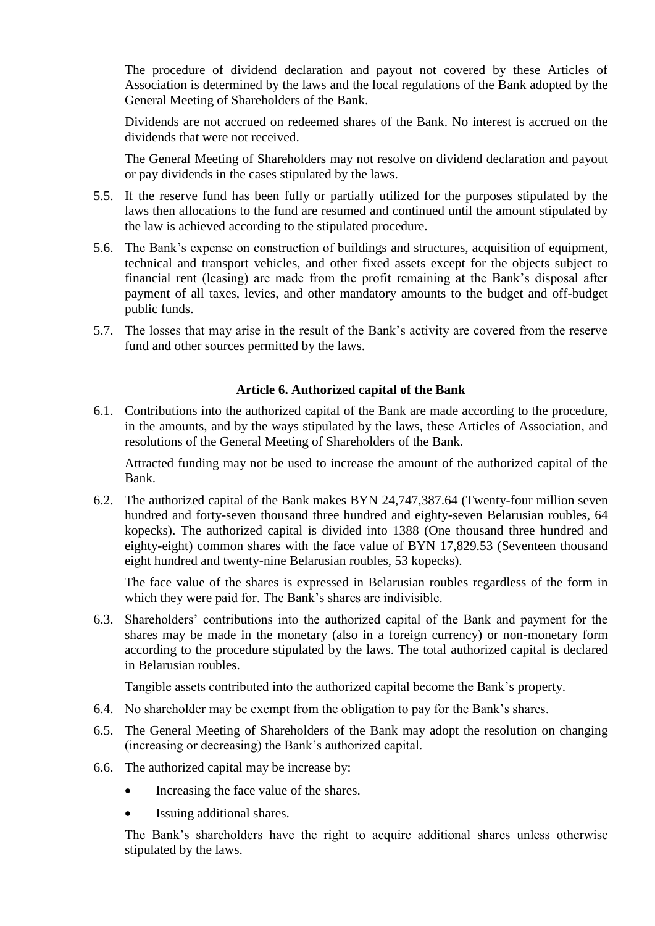The procedure of dividend declaration and payout not covered by these Articles of Association is determined by the laws and the local regulations of the Bank adopted by the General Meeting of Shareholders of the Bank.

Dividends are not accrued on redeemed shares of the Bank. No interest is accrued on the dividends that were not received.

The General Meeting of Shareholders may not resolve on dividend declaration and payout or pay dividends in the cases stipulated by the laws.

- 5.5. If the reserve fund has been fully or partially utilized for the purposes stipulated by the laws then allocations to the fund are resumed and continued until the amount stipulated by the law is achieved according to the stipulated procedure.
- 5.6. The Bank"s expense on construction of buildings and structures, acquisition of equipment, technical and transport vehicles, and other fixed assets except for the objects subject to financial rent (leasing) are made from the profit remaining at the Bank"s disposal after payment of all taxes, levies, and other mandatory amounts to the budget and off-budget public funds.
- 5.7. The losses that may arise in the result of the Bank"s activity are covered from the reserve fund and other sources permitted by the laws.

## **Article 6. Authorized capital of the Bank**

<span id="page-6-0"></span>6.1. Contributions into the authorized capital of the Bank are made according to the procedure, in the amounts, and by the ways stipulated by the laws, these Articles of Association, and resolutions of the General Meeting of Shareholders of the Bank.

Attracted funding may not be used to increase the amount of the authorized capital of the Bank.

6.2. The authorized capital of the Bank makes BYN 24,747,387.64 (Twenty-four million seven hundred and forty-seven thousand three hundred and eighty-seven Belarusian roubles, 64 kopecks). The authorized capital is divided into 1388 (One thousand three hundred and eighty-eight) common shares with the face value of BYN 17,829.53 (Seventeen thousand eight hundred and twenty-nine Belarusian roubles, 53 kopecks).

The face value of the shares is expressed in Belarusian roubles regardless of the form in which they were paid for. The Bank's shares are indivisible.

6.3. Shareholders" contributions into the authorized capital of the Bank and payment for the shares may be made in the monetary (also in a foreign currency) or non-monetary form according to the procedure stipulated by the laws. The total authorized capital is declared in Belarusian roubles.

Tangible assets contributed into the authorized capital become the Bank"s property.

- 6.4. No shareholder may be exempt from the obligation to pay for the Bank"s shares.
- 6.5. The General Meeting of Shareholders of the Bank may adopt the resolution on changing (increasing or decreasing) the Bank"s authorized capital.
- 6.6. The authorized capital may be increase by:
	- Increasing the face value of the shares.
	- Issuing additional shares.

The Bank"s shareholders have the right to acquire additional shares unless otherwise stipulated by the laws.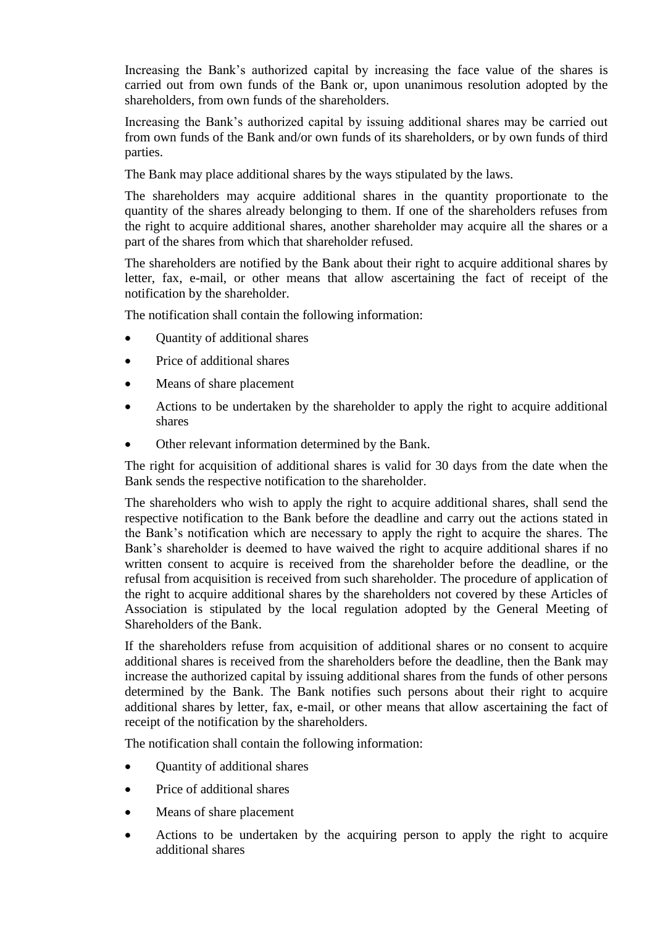Increasing the Bank's authorized capital by increasing the face value of the shares is carried out from own funds of the Bank or, upon unanimous resolution adopted by the shareholders, from own funds of the shareholders.

Increasing the Bank's authorized capital by issuing additional shares may be carried out from own funds of the Bank and/or own funds of its shareholders, or by own funds of third parties.

The Bank may place additional shares by the ways stipulated by the laws.

The shareholders may acquire additional shares in the quantity proportionate to the quantity of the shares already belonging to them. If one of the shareholders refuses from the right to acquire additional shares, another shareholder may acquire all the shares or a part of the shares from which that shareholder refused.

The shareholders are notified by the Bank about their right to acquire additional shares by letter, fax, e-mail, or other means that allow ascertaining the fact of receipt of the notification by the shareholder.

The notification shall contain the following information:

- Quantity of additional shares
- Price of additional shares
- Means of share placement
- Actions to be undertaken by the shareholder to apply the right to acquire additional shares
- Other relevant information determined by the Bank.

The right for acquisition of additional shares is valid for 30 days from the date when the Bank sends the respective notification to the shareholder.

The shareholders who wish to apply the right to acquire additional shares, shall send the respective notification to the Bank before the deadline and carry out the actions stated in the Bank"s notification which are necessary to apply the right to acquire the shares. The Bank"s shareholder is deemed to have waived the right to acquire additional shares if no written consent to acquire is received from the shareholder before the deadline, or the refusal from acquisition is received from such shareholder. The procedure of application of the right to acquire additional shares by the shareholders not covered by these Articles of Association is stipulated by the local regulation adopted by the General Meeting of Shareholders of the Bank.

If the shareholders refuse from acquisition of additional shares or no consent to acquire additional shares is received from the shareholders before the deadline, then the Bank may increase the authorized capital by issuing additional shares from the funds of other persons determined by the Bank. The Bank notifies such persons about their right to acquire additional shares by letter, fax, e-mail, or other means that allow ascertaining the fact of receipt of the notification by the shareholders.

The notification shall contain the following information:

- Ouantity of additional shares
- Price of additional shares
- Means of share placement
- Actions to be undertaken by the acquiring person to apply the right to acquire additional shares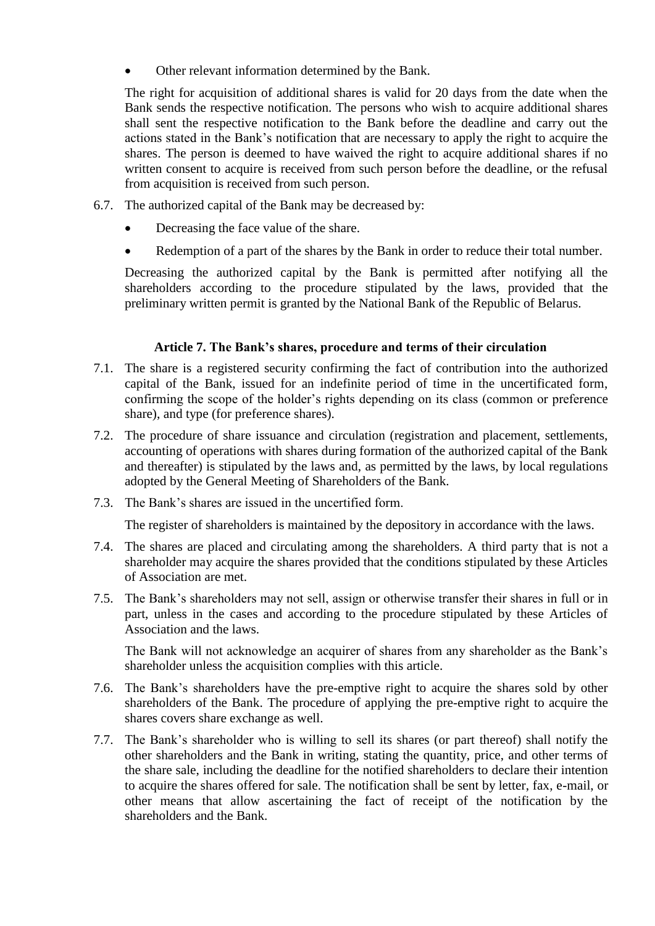Other relevant information determined by the Bank.

The right for acquisition of additional shares is valid for 20 days from the date when the Bank sends the respective notification. The persons who wish to acquire additional shares shall sent the respective notification to the Bank before the deadline and carry out the actions stated in the Bank"s notification that are necessary to apply the right to acquire the shares. The person is deemed to have waived the right to acquire additional shares if no written consent to acquire is received from such person before the deadline, or the refusal from acquisition is received from such person.

- 6.7. The authorized capital of the Bank may be decreased by:
	- Decreasing the face value of the share.
	- Redemption of a part of the shares by the Bank in order to reduce their total number.

Decreasing the authorized capital by the Bank is permitted after notifying all the shareholders according to the procedure stipulated by the laws, provided that the preliminary written permit is granted by the National Bank of the Republic of Belarus.

#### **Article 7. The Bank's shares, procedure and terms of their circulation**

- <span id="page-8-0"></span>7.1. The share is a registered security confirming the fact of contribution into the authorized capital of the Bank, issued for an indefinite period of time in the uncertificated form, confirming the scope of the holder"s rights depending on its class (common or preference share), and type (for preference shares).
- 7.2. The procedure of share issuance and circulation (registration and placement, settlements, accounting of operations with shares during formation of the authorized capital of the Bank and thereafter) is stipulated by the laws and, as permitted by the laws, by local regulations adopted by the General Meeting of Shareholders of the Bank.
- 7.3. The Bank"s shares are issued in the uncertified form.

The register of shareholders is maintained by the depository in accordance with the laws.

- 7.4. The shares are placed and circulating among the shareholders. A third party that is not a shareholder may acquire the shares provided that the conditions stipulated by these Articles of Association are met.
- 7.5. The Bank"s shareholders may not sell, assign or otherwise transfer their shares in full or in part, unless in the cases and according to the procedure stipulated by these Articles of Association and the laws.

The Bank will not acknowledge an acquirer of shares from any shareholder as the Bank"s shareholder unless the acquisition complies with this article.

- 7.6. The Bank"s shareholders have the pre-emptive right to acquire the shares sold by other shareholders of the Bank. The procedure of applying the pre-emptive right to acquire the shares covers share exchange as well.
- 7.7. The Bank"s shareholder who is willing to sell its shares (or part thereof) shall notify the other shareholders and the Bank in writing, stating the quantity, price, and other terms of the share sale, including the deadline for the notified shareholders to declare their intention to acquire the shares offered for sale. The notification shall be sent by letter, fax, e-mail, or other means that allow ascertaining the fact of receipt of the notification by the shareholders and the Bank.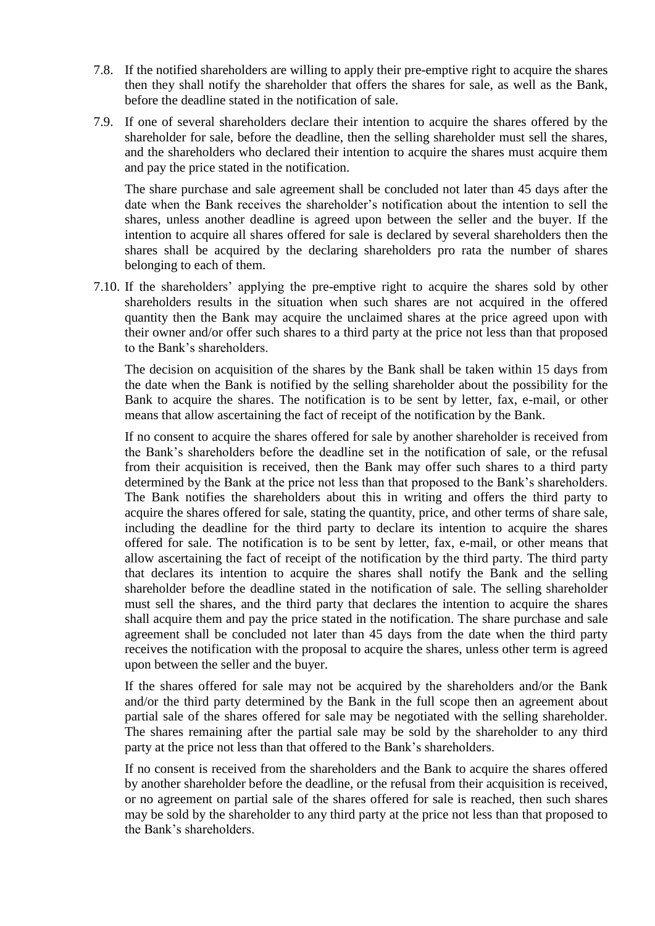- 7.8. If the notified shareholders are willing to apply their pre-emptive right to acquire the shares then they shall notify the shareholder that offers the shares for sale, as well as the Bank, before the deadline stated in the notification of sale.
- 7.9. If one of several shareholders declare their intention to acquire the shares offered by the shareholder for sale, before the deadline, then the selling shareholder must sell the shares, and the shareholders who declared their intention to acquire the shares must acquire them and pay the price stated in the notification.

The share purchase and sale agreement shall be concluded not later than 45 days after the date when the Bank receives the shareholder"s notification about the intention to sell the shares, unless another deadline is agreed upon between the seller and the buyer. If the intention to acquire all shares offered for sale is declared by several shareholders then the shares shall be acquired by the declaring shareholders pro rata the number of shares belonging to each of them.

7.10. If the shareholders" applying the pre-emptive right to acquire the shares sold by other shareholders results in the situation when such shares are not acquired in the offered quantity then the Bank may acquire the unclaimed shares at the price agreed upon with their owner and/or offer such shares to a third party at the price not less than that proposed to the Bank"s shareholders.

The decision on acquisition of the shares by the Bank shall be taken within 15 days from the date when the Bank is notified by the selling shareholder about the possibility for the Bank to acquire the shares. The notification is to be sent by letter, fax, e-mail, or other means that allow ascertaining the fact of receipt of the notification by the Bank.

If no consent to acquire the shares offered for sale by another shareholder is received from the Bank"s shareholders before the deadline set in the notification of sale, or the refusal from their acquisition is received, then the Bank may offer such shares to a third party determined by the Bank at the price not less than that proposed to the Bank's shareholders. The Bank notifies the shareholders about this in writing and offers the third party to acquire the shares offered for sale, stating the quantity, price, and other terms of share sale, including the deadline for the third party to declare its intention to acquire the shares offered for sale. The notification is to be sent by letter, fax, e-mail, or other means that allow ascertaining the fact of receipt of the notification by the third party. The third party that declares its intention to acquire the shares shall notify the Bank and the selling shareholder before the deadline stated in the notification of sale. The selling shareholder must sell the shares, and the third party that declares the intention to acquire the shares shall acquire them and pay the price stated in the notification. The share purchase and sale agreement shall be concluded not later than 45 days from the date when the third party receives the notification with the proposal to acquire the shares, unless other term is agreed upon between the seller and the buyer.

If the shares offered for sale may not be acquired by the shareholders and/or the Bank and/or the third party determined by the Bank in the full scope then an agreement about partial sale of the shares offered for sale may be negotiated with the selling shareholder. The shares remaining after the partial sale may be sold by the shareholder to any third party at the price not less than that offered to the Bank"s shareholders.

If no consent is received from the shareholders and the Bank to acquire the shares offered by another shareholder before the deadline, or the refusal from their acquisition is received, or no agreement on partial sale of the shares offered for sale is reached, then such shares may be sold by the shareholder to any third party at the price not less than that proposed to the Bank"s shareholders.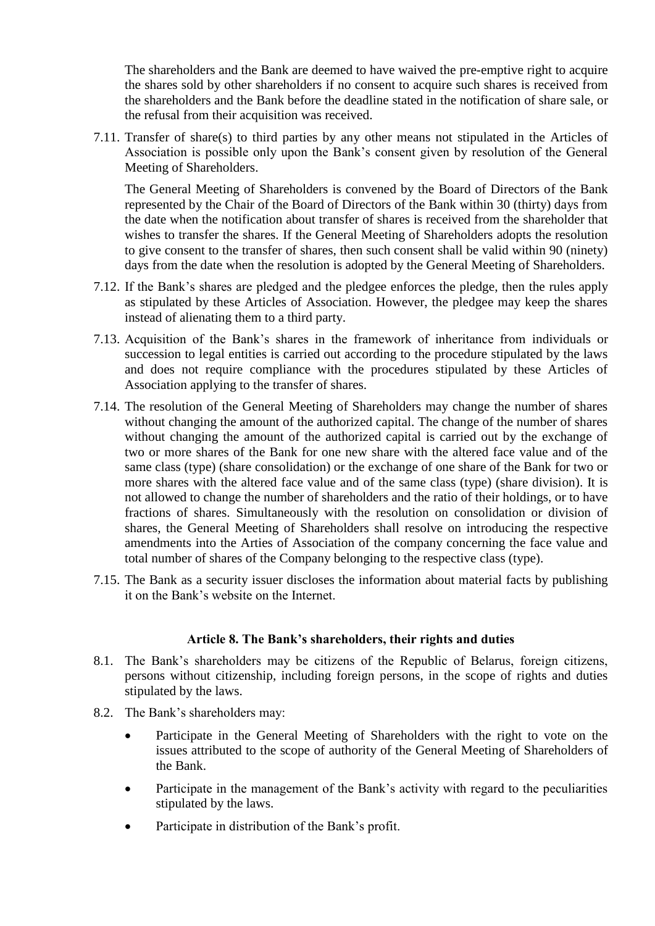The shareholders and the Bank are deemed to have waived the pre-emptive right to acquire the shares sold by other shareholders if no consent to acquire such shares is received from the shareholders and the Bank before the deadline stated in the notification of share sale, or the refusal from their acquisition was received.

7.11. Transfer of share(s) to third parties by any other means not stipulated in the Articles of Association is possible only upon the Bank"s consent given by resolution of the General Meeting of Shareholders.

The General Meeting of Shareholders is convened by the Board of Directors of the Bank represented by the Chair of the Board of Directors of the Bank within 30 (thirty) days from the date when the notification about transfer of shares is received from the shareholder that wishes to transfer the shares. If the General Meeting of Shareholders adopts the resolution to give consent to the transfer of shares, then such consent shall be valid within 90 (ninety) days from the date when the resolution is adopted by the General Meeting of Shareholders.

- 7.12. If the Bank"s shares are pledged and the pledgee enforces the pledge, then the rules apply as stipulated by these Articles of Association. However, the pledgee may keep the shares instead of alienating them to a third party.
- 7.13. Acquisition of the Bank"s shares in the framework of inheritance from individuals or succession to legal entities is carried out according to the procedure stipulated by the laws and does not require compliance with the procedures stipulated by these Articles of Association applying to the transfer of shares.
- 7.14. The resolution of the General Meeting of Shareholders may change the number of shares without changing the amount of the authorized capital. The change of the number of shares without changing the amount of the authorized capital is carried out by the exchange of two or more shares of the Bank for one new share with the altered face value and of the same class (type) (share consolidation) or the exchange of one share of the Bank for two or more shares with the altered face value and of the same class (type) (share division). It is not allowed to change the number of shareholders and the ratio of their holdings, or to have fractions of shares. Simultaneously with the resolution on consolidation or division of shares, the General Meeting of Shareholders shall resolve on introducing the respective amendments into the Arties of Association of the company concerning the face value and total number of shares of the Company belonging to the respective class (type).
- 7.15. The Bank as a security issuer discloses the information about material facts by publishing it on the Bank"s website on the Internet.

#### **Article 8. The Bank's shareholders, their rights and duties**

- <span id="page-10-0"></span>8.1. The Bank"s shareholders may be citizens of the Republic of Belarus, foreign citizens, persons without citizenship, including foreign persons, in the scope of rights and duties stipulated by the laws.
- 8.2. The Bank"s shareholders may:
	- Participate in the General Meeting of Shareholders with the right to vote on the issues attributed to the scope of authority of the General Meeting of Shareholders of the Bank.
	- Participate in the management of the Bank's activity with regard to the peculiarities stipulated by the laws.
	- Participate in distribution of the Bank's profit.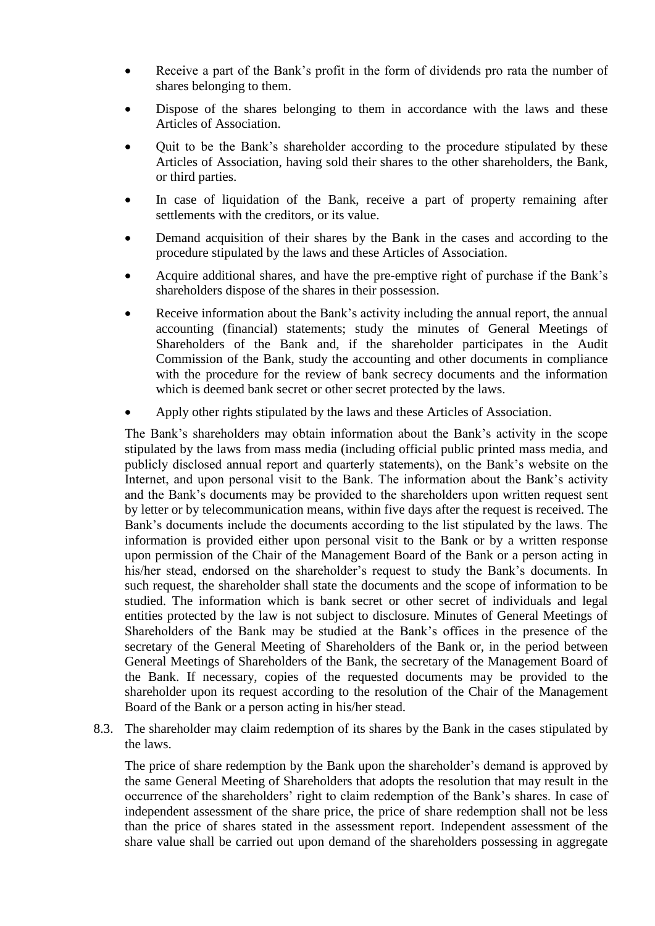- Receive a part of the Bank"s profit in the form of dividends pro rata the number of shares belonging to them.
- Dispose of the shares belonging to them in accordance with the laws and these Articles of Association.
- Quit to be the Bank"s shareholder according to the procedure stipulated by these Articles of Association, having sold their shares to the other shareholders, the Bank, or third parties.
- In case of liquidation of the Bank, receive a part of property remaining after settlements with the creditors, or its value.
- Demand acquisition of their shares by the Bank in the cases and according to the procedure stipulated by the laws and these Articles of Association.
- Acquire additional shares, and have the pre-emptive right of purchase if the Bank"s shareholders dispose of the shares in their possession.
- Receive information about the Bank"s activity including the annual report, the annual accounting (financial) statements; study the minutes of General Meetings of Shareholders of the Bank and, if the shareholder participates in the Audit Commission of the Bank, study the accounting and other documents in compliance with the procedure for the review of bank secrecy documents and the information which is deemed bank secret or other secret protected by the laws.
- Apply other rights stipulated by the laws and these Articles of Association.

The Bank"s shareholders may obtain information about the Bank"s activity in the scope stipulated by the laws from mass media (including official public printed mass media, and publicly disclosed annual report and quarterly statements), on the Bank"s website on the Internet, and upon personal visit to the Bank. The information about the Bank's activity and the Bank"s documents may be provided to the shareholders upon written request sent by letter or by telecommunication means, within five days after the request is received. The Bank"s documents include the documents according to the list stipulated by the laws. The information is provided either upon personal visit to the Bank or by a written response upon permission of the Chair of the Management Board of the Bank or a person acting in his/her stead, endorsed on the shareholder's request to study the Bank's documents. In such request, the shareholder shall state the documents and the scope of information to be studied. The information which is bank secret or other secret of individuals and legal entities protected by the law is not subject to disclosure. Minutes of General Meetings of Shareholders of the Bank may be studied at the Bank"s offices in the presence of the secretary of the General Meeting of Shareholders of the Bank or, in the period between General Meetings of Shareholders of the Bank, the secretary of the Management Board of the Bank. If necessary, copies of the requested documents may be provided to the shareholder upon its request according to the resolution of the Chair of the Management Board of the Bank or a person acting in his/her stead.

8.3. The shareholder may claim redemption of its shares by the Bank in the cases stipulated by the laws.

The price of share redemption by the Bank upon the shareholder's demand is approved by the same General Meeting of Shareholders that adopts the resolution that may result in the occurrence of the shareholders' right to claim redemption of the Bank's shares. In case of independent assessment of the share price, the price of share redemption shall not be less than the price of shares stated in the assessment report. Independent assessment of the share value shall be carried out upon demand of the shareholders possessing in aggregate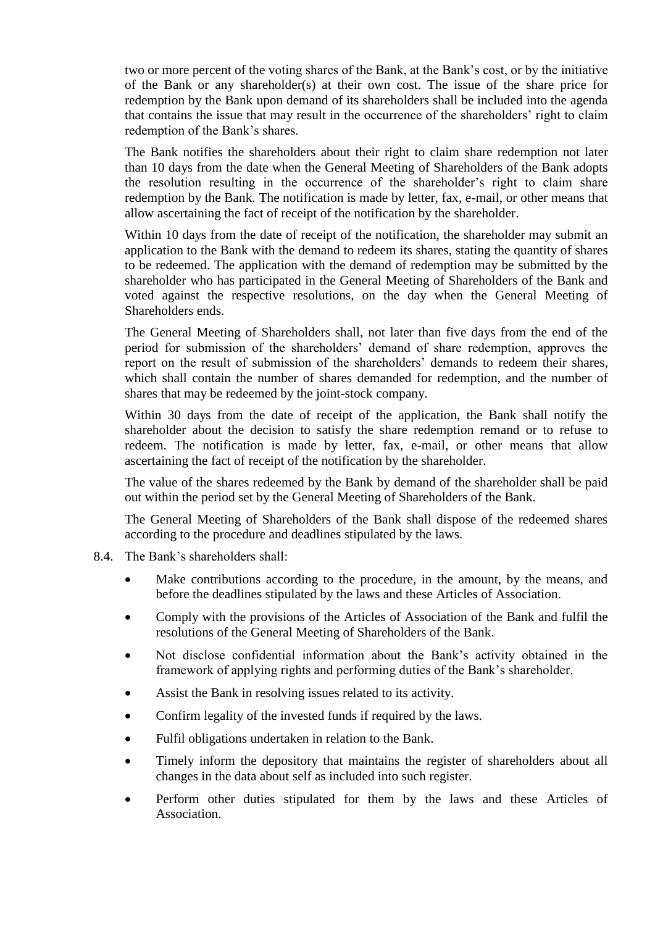two or more percent of the voting shares of the Bank, at the Bank"s cost, or by the initiative of the Bank or any shareholder(s) at their own cost. The issue of the share price for redemption by the Bank upon demand of its shareholders shall be included into the agenda that contains the issue that may result in the occurrence of the shareholders" right to claim redemption of the Bank"s shares.

The Bank notifies the shareholders about their right to claim share redemption not later than 10 days from the date when the General Meeting of Shareholders of the Bank adopts the resolution resulting in the occurrence of the shareholder"s right to claim share redemption by the Bank. The notification is made by letter, fax, e-mail, or other means that allow ascertaining the fact of receipt of the notification by the shareholder.

Within 10 days from the date of receipt of the notification, the shareholder may submit an application to the Bank with the demand to redeem its shares, stating the quantity of shares to be redeemed. The application with the demand of redemption may be submitted by the shareholder who has participated in the General Meeting of Shareholders of the Bank and voted against the respective resolutions, on the day when the General Meeting of Shareholders ends.

The General Meeting of Shareholders shall, not later than five days from the end of the period for submission of the shareholders" demand of share redemption, approves the report on the result of submission of the shareholders' demands to redeem their shares, which shall contain the number of shares demanded for redemption, and the number of shares that may be redeemed by the joint-stock company.

Within 30 days from the date of receipt of the application, the Bank shall notify the shareholder about the decision to satisfy the share redemption remand or to refuse to redeem. The notification is made by letter, fax, e-mail, or other means that allow ascertaining the fact of receipt of the notification by the shareholder.

The value of the shares redeemed by the Bank by demand of the shareholder shall be paid out within the period set by the General Meeting of Shareholders of the Bank.

The General Meeting of Shareholders of the Bank shall dispose of the redeemed shares according to the procedure and deadlines stipulated by the laws.

- 8.4. The Bank"s shareholders shall:
	- Make contributions according to the procedure, in the amount, by the means, and before the deadlines stipulated by the laws and these Articles of Association.
	- Comply with the provisions of the Articles of Association of the Bank and fulfil the resolutions of the General Meeting of Shareholders of the Bank.
	- Not disclose confidential information about the Bank"s activity obtained in the framework of applying rights and performing duties of the Bank"s shareholder.
	- Assist the Bank in resolving issues related to its activity.
	- Confirm legality of the invested funds if required by the laws.
	- Fulfil obligations undertaken in relation to the Bank.
	- Timely inform the depository that maintains the register of shareholders about all changes in the data about self as included into such register.
	- Perform other duties stipulated for them by the laws and these Articles of Association.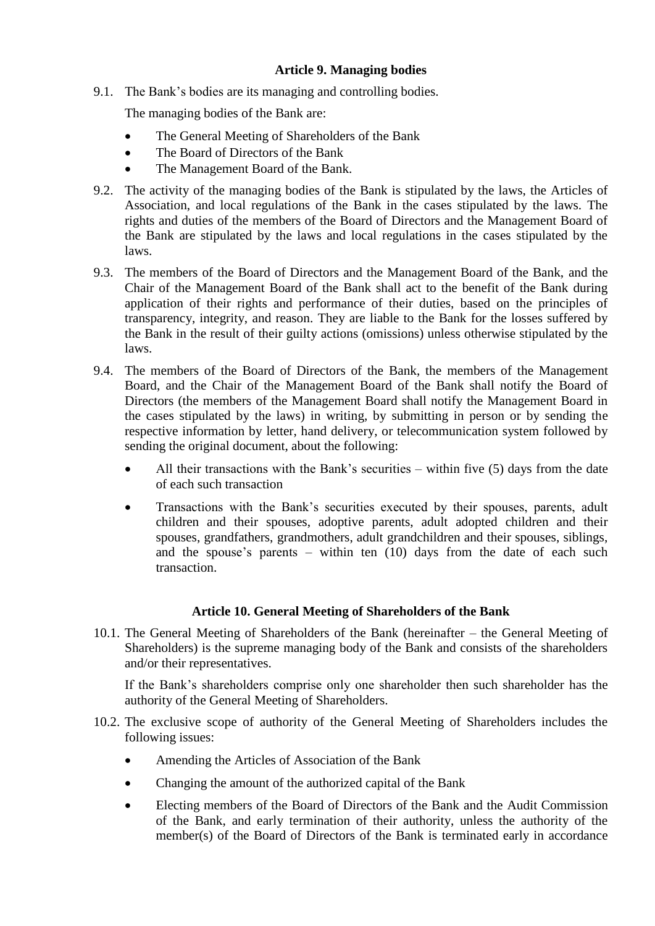## **Article 9. Managing bodies**

<span id="page-13-0"></span>9.1. The Bank"s bodies are its managing and controlling bodies.

The managing bodies of the Bank are:

- The General Meeting of Shareholders of the Bank
- The Board of Directors of the Bank
- The Management Board of the Bank.
- 9.2. The activity of the managing bodies of the Bank is stipulated by the laws, the Articles of Association, and local regulations of the Bank in the cases stipulated by the laws. The rights and duties of the members of the Board of Directors and the Management Board of the Bank are stipulated by the laws and local regulations in the cases stipulated by the laws.
- 9.3. The members of the Board of Directors and the Management Board of the Bank, and the Chair of the Management Board of the Bank shall act to the benefit of the Bank during application of their rights and performance of their duties, based on the principles of transparency, integrity, and reason. They are liable to the Bank for the losses suffered by the Bank in the result of their guilty actions (omissions) unless otherwise stipulated by the laws.
- 9.4. The members of the Board of Directors of the Bank, the members of the Management Board, and the Chair of the Management Board of the Bank shall notify the Board of Directors (the members of the Management Board shall notify the Management Board in the cases stipulated by the laws) in writing, by submitting in person or by sending the respective information by letter, hand delivery, or telecommunication system followed by sending the original document, about the following:
	- All their transactions with the Bank's securities within five (5) days from the date of each such transaction
	- Transactions with the Bank"s securities executed by their spouses, parents, adult children and their spouses, adoptive parents, adult adopted children and their spouses, grandfathers, grandmothers, adult grandchildren and their spouses, siblings, and the spouse's parents – within ten  $(10)$  days from the date of each such transaction.

## **Article 10. General Meeting of Shareholders of the Bank**

<span id="page-13-1"></span>10.1. The General Meeting of Shareholders of the Bank (hereinafter – the General Meeting of Shareholders) is the supreme managing body of the Bank and consists of the shareholders and/or their representatives.

If the Bank"s shareholders comprise only one shareholder then such shareholder has the authority of the General Meeting of Shareholders.

- 10.2. The exclusive scope of authority of the General Meeting of Shareholders includes the following issues:
	- Amending the Articles of Association of the Bank
	- Changing the amount of the authorized capital of the Bank
	- Electing members of the Board of Directors of the Bank and the Audit Commission of the Bank, and early termination of their authority, unless the authority of the member(s) of the Board of Directors of the Bank is terminated early in accordance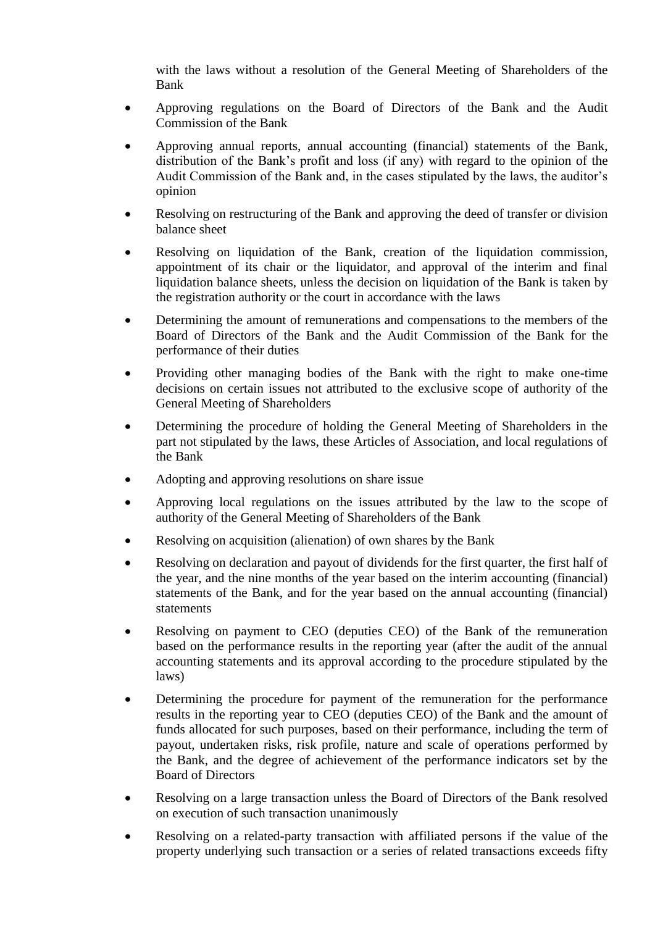with the laws without a resolution of the General Meeting of Shareholders of the Bank

- Approving regulations on the Board of Directors of the Bank and the Audit Commission of the Bank
- Approving annual reports, annual accounting (financial) statements of the Bank, distribution of the Bank"s profit and loss (if any) with regard to the opinion of the Audit Commission of the Bank and, in the cases stipulated by the laws, the auditor"s opinion
- Resolving on restructuring of the Bank and approving the deed of transfer or division balance sheet
- Resolving on liquidation of the Bank, creation of the liquidation commission, appointment of its chair or the liquidator, and approval of the interim and final liquidation balance sheets, unless the decision on liquidation of the Bank is taken by the registration authority or the court in accordance with the laws
- Determining the amount of remunerations and compensations to the members of the Board of Directors of the Bank and the Audit Commission of the Bank for the performance of their duties
- Providing other managing bodies of the Bank with the right to make one-time decisions on certain issues not attributed to the exclusive scope of authority of the General Meeting of Shareholders
- Determining the procedure of holding the General Meeting of Shareholders in the part not stipulated by the laws, these Articles of Association, and local regulations of the Bank
- Adopting and approving resolutions on share issue
- Approving local regulations on the issues attributed by the law to the scope of authority of the General Meeting of Shareholders of the Bank
- Resolving on acquisition (alienation) of own shares by the Bank
- Resolving on declaration and payout of dividends for the first quarter, the first half of the year, and the nine months of the year based on the interim accounting (financial) statements of the Bank, and for the year based on the annual accounting (financial) statements
- Resolving on payment to CEO (deputies CEO) of the Bank of the remuneration based on the performance results in the reporting year (after the audit of the annual accounting statements and its approval according to the procedure stipulated by the laws)
- Determining the procedure for payment of the remuneration for the performance results in the reporting year to CEO (deputies CEO) of the Bank and the amount of funds allocated for such purposes, based on their performance, including the term of payout, undertaken risks, risk profile, nature and scale of operations performed by the Bank, and the degree of achievement of the performance indicators set by the Board of Directors
- Resolving on a large transaction unless the Board of Directors of the Bank resolved on execution of such transaction unanimously
- Resolving on a related-party transaction with affiliated persons if the value of the property underlying such transaction or a series of related transactions exceeds fifty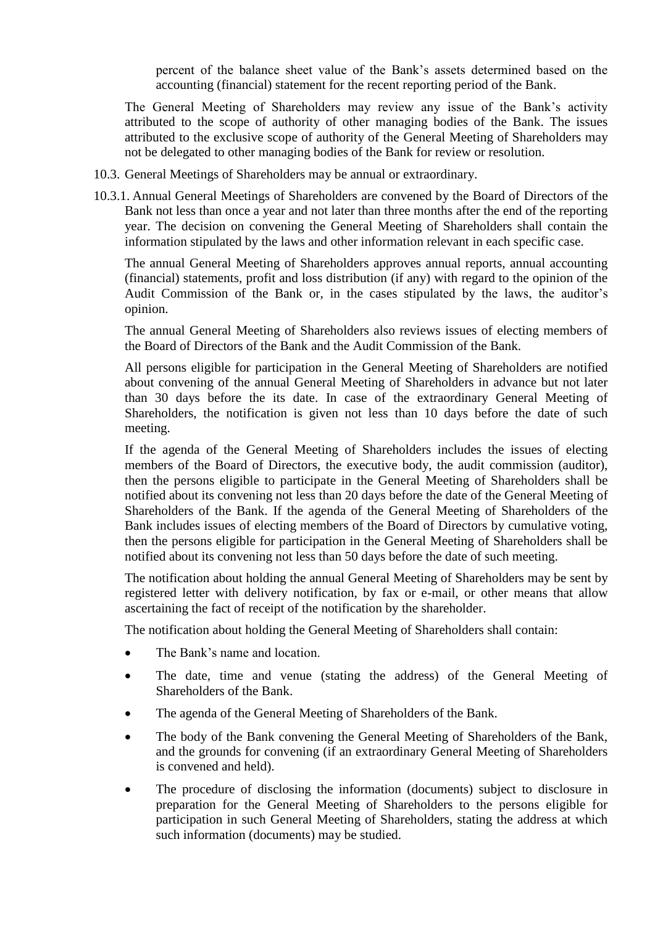percent of the balance sheet value of the Bank"s assets determined based on the accounting (financial) statement for the recent reporting period of the Bank.

The General Meeting of Shareholders may review any issue of the Bank's activity attributed to the scope of authority of other managing bodies of the Bank. The issues attributed to the exclusive scope of authority of the General Meeting of Shareholders may not be delegated to other managing bodies of the Bank for review or resolution.

- 10.3. General Meetings of Shareholders may be annual or extraordinary.
- 10.3.1. Annual General Meetings of Shareholders are convened by the Board of Directors of the Bank not less than once a year and not later than three months after the end of the reporting year. The decision on convening the General Meeting of Shareholders shall contain the information stipulated by the laws and other information relevant in each specific case.

The annual General Meeting of Shareholders approves annual reports, annual accounting (financial) statements, profit and loss distribution (if any) with regard to the opinion of the Audit Commission of the Bank or, in the cases stipulated by the laws, the auditor"s opinion.

The annual General Meeting of Shareholders also reviews issues of electing members of the Board of Directors of the Bank and the Audit Commission of the Bank.

All persons eligible for participation in the General Meeting of Shareholders are notified about convening of the annual General Meeting of Shareholders in advance but not later than 30 days before the its date. In case of the extraordinary General Meeting of Shareholders, the notification is given not less than 10 days before the date of such meeting.

If the agenda of the General Meeting of Shareholders includes the issues of electing members of the Board of Directors, the executive body, the audit commission (auditor), then the persons eligible to participate in the General Meeting of Shareholders shall be notified about its convening not less than 20 days before the date of the General Meeting of Shareholders of the Bank. If the agenda of the General Meeting of Shareholders of the Bank includes issues of electing members of the Board of Directors by cumulative voting, then the persons eligible for participation in the General Meeting of Shareholders shall be notified about its convening not less than 50 days before the date of such meeting.

The notification about holding the annual General Meeting of Shareholders may be sent by registered letter with delivery notification, by fax or e-mail, or other means that allow ascertaining the fact of receipt of the notification by the shareholder.

The notification about holding the General Meeting of Shareholders shall contain:

- The Bank's name and location.
- The date, time and venue (stating the address) of the General Meeting of Shareholders of the Bank.
- The agenda of the General Meeting of Shareholders of the Bank.
- The body of the Bank convening the General Meeting of Shareholders of the Bank, and the grounds for convening (if an extraordinary General Meeting of Shareholders is convened and held).
- The procedure of disclosing the information (documents) subject to disclosure in preparation for the General Meeting of Shareholders to the persons eligible for participation in such General Meeting of Shareholders, stating the address at which such information (documents) may be studied.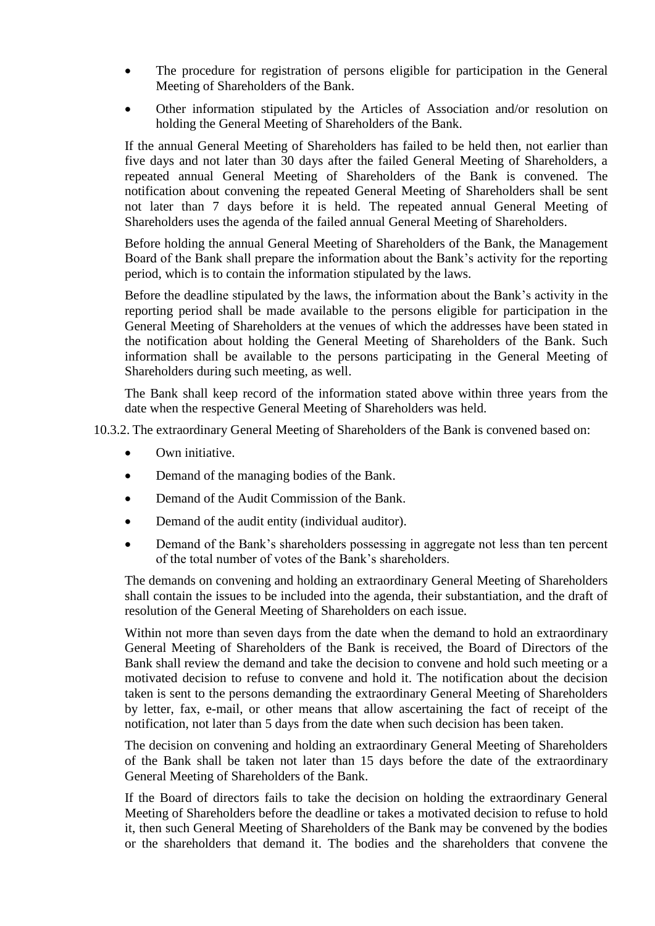- The procedure for registration of persons eligible for participation in the General Meeting of Shareholders of the Bank.
- Other information stipulated by the Articles of Association and/or resolution on holding the General Meeting of Shareholders of the Bank.

If the annual General Meeting of Shareholders has failed to be held then, not earlier than five days and not later than 30 days after the failed General Meeting of Shareholders, a repeated annual General Meeting of Shareholders of the Bank is convened. The notification about convening the repeated General Meeting of Shareholders shall be sent not later than 7 days before it is held. The repeated annual General Meeting of Shareholders uses the agenda of the failed annual General Meeting of Shareholders.

Before holding the annual General Meeting of Shareholders of the Bank, the Management Board of the Bank shall prepare the information about the Bank"s activity for the reporting period, which is to contain the information stipulated by the laws.

Before the deadline stipulated by the laws, the information about the Bank"s activity in the reporting period shall be made available to the persons eligible for participation in the General Meeting of Shareholders at the venues of which the addresses have been stated in the notification about holding the General Meeting of Shareholders of the Bank. Such information shall be available to the persons participating in the General Meeting of Shareholders during such meeting, as well.

The Bank shall keep record of the information stated above within three years from the date when the respective General Meeting of Shareholders was held.

10.3.2. The extraordinary General Meeting of Shareholders of the Bank is convened based on:

- Own initiative.
- Demand of the managing bodies of the Bank.
- Demand of the Audit Commission of the Bank.
- Demand of the audit entity (individual auditor).
- Demand of the Bank's shareholders possessing in aggregate not less than ten percent of the total number of votes of the Bank"s shareholders.

The demands on convening and holding an extraordinary General Meeting of Shareholders shall contain the issues to be included into the agenda, their substantiation, and the draft of resolution of the General Meeting of Shareholders on each issue.

Within not more than seven days from the date when the demand to hold an extraordinary General Meeting of Shareholders of the Bank is received, the Board of Directors of the Bank shall review the demand and take the decision to convene and hold such meeting or a motivated decision to refuse to convene and hold it. The notification about the decision taken is sent to the persons demanding the extraordinary General Meeting of Shareholders by letter, fax, e-mail, or other means that allow ascertaining the fact of receipt of the notification, not later than 5 days from the date when such decision has been taken.

The decision on convening and holding an extraordinary General Meeting of Shareholders of the Bank shall be taken not later than 15 days before the date of the extraordinary General Meeting of Shareholders of the Bank.

If the Board of directors fails to take the decision on holding the extraordinary General Meeting of Shareholders before the deadline or takes a motivated decision to refuse to hold it, then such General Meeting of Shareholders of the Bank may be convened by the bodies or the shareholders that demand it. The bodies and the shareholders that convene the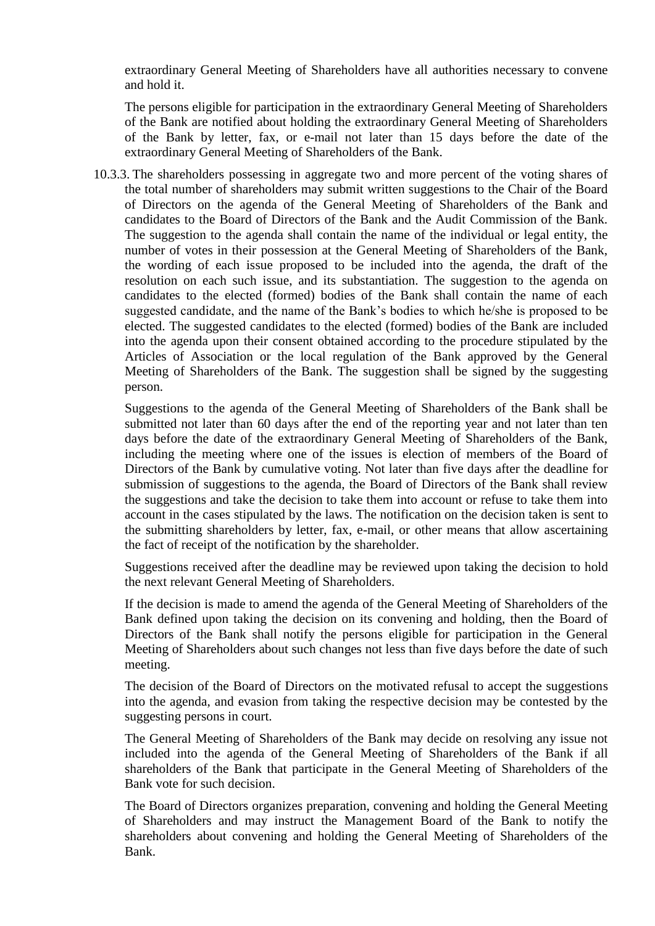extraordinary General Meeting of Shareholders have all authorities necessary to convene and hold it.

The persons eligible for participation in the extraordinary General Meeting of Shareholders of the Bank are notified about holding the extraordinary General Meeting of Shareholders of the Bank by letter, fax, or e-mail not later than 15 days before the date of the extraordinary General Meeting of Shareholders of the Bank.

10.3.3. The shareholders possessing in aggregate two and more percent of the voting shares of the total number of shareholders may submit written suggestions to the Chair of the Board of Directors on the agenda of the General Meeting of Shareholders of the Bank and candidates to the Board of Directors of the Bank and the Audit Commission of the Bank. The suggestion to the agenda shall contain the name of the individual or legal entity, the number of votes in their possession at the General Meeting of Shareholders of the Bank, the wording of each issue proposed to be included into the agenda, the draft of the resolution on each such issue, and its substantiation. The suggestion to the agenda on candidates to the elected (formed) bodies of the Bank shall contain the name of each suggested candidate, and the name of the Bank"s bodies to which he/she is proposed to be elected. The suggested candidates to the elected (formed) bodies of the Bank are included into the agenda upon their consent obtained according to the procedure stipulated by the Articles of Association or the local regulation of the Bank approved by the General Meeting of Shareholders of the Bank. The suggestion shall be signed by the suggesting person.

Suggestions to the agenda of the General Meeting of Shareholders of the Bank shall be submitted not later than 60 days after the end of the reporting year and not later than ten days before the date of the extraordinary General Meeting of Shareholders of the Bank, including the meeting where one of the issues is election of members of the Board of Directors of the Bank by cumulative voting. Not later than five days after the deadline for submission of suggestions to the agenda, the Board of Directors of the Bank shall review the suggestions and take the decision to take them into account or refuse to take them into account in the cases stipulated by the laws. The notification on the decision taken is sent to the submitting shareholders by letter, fax, e-mail, or other means that allow ascertaining the fact of receipt of the notification by the shareholder.

Suggestions received after the deadline may be reviewed upon taking the decision to hold the next relevant General Meeting of Shareholders.

If the decision is made to amend the agenda of the General Meeting of Shareholders of the Bank defined upon taking the decision on its convening and holding, then the Board of Directors of the Bank shall notify the persons eligible for participation in the General Meeting of Shareholders about such changes not less than five days before the date of such meeting.

The decision of the Board of Directors on the motivated refusal to accept the suggestions into the agenda, and evasion from taking the respective decision may be contested by the suggesting persons in court.

The General Meeting of Shareholders of the Bank may decide on resolving any issue not included into the agenda of the General Meeting of Shareholders of the Bank if all shareholders of the Bank that participate in the General Meeting of Shareholders of the Bank vote for such decision.

The Board of Directors organizes preparation, convening and holding the General Meeting of Shareholders and may instruct the Management Board of the Bank to notify the shareholders about convening and holding the General Meeting of Shareholders of the Bank.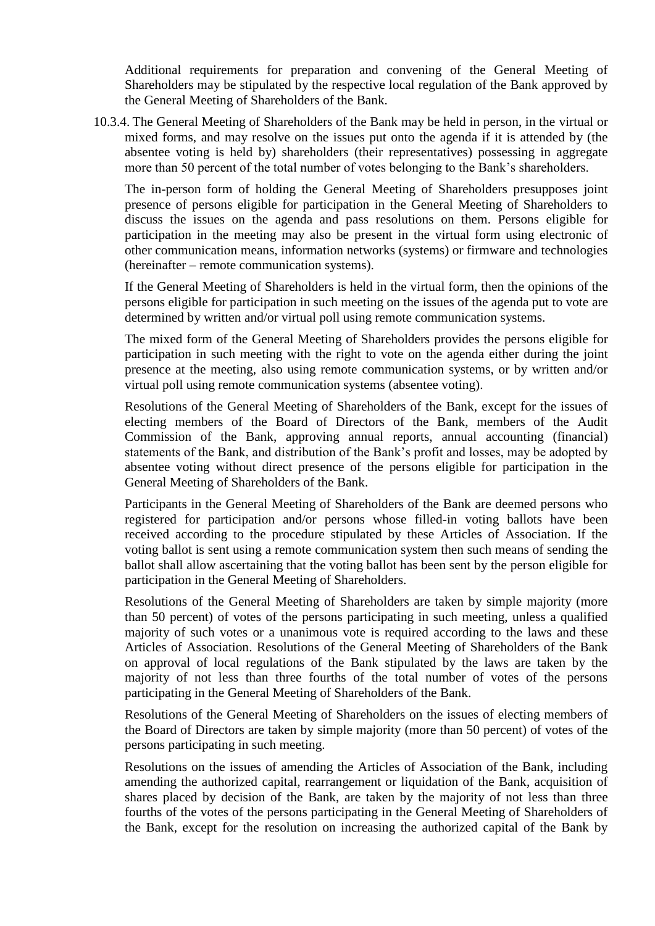Additional requirements for preparation and convening of the General Meeting of Shareholders may be stipulated by the respective local regulation of the Bank approved by the General Meeting of Shareholders of the Bank.

10.3.4. The General Meeting of Shareholders of the Bank may be held in person, in the virtual or mixed forms, and may resolve on the issues put onto the agenda if it is attended by (the absentee voting is held by) shareholders (their representatives) possessing in aggregate more than 50 percent of the total number of votes belonging to the Bank"s shareholders.

The in-person form of holding the General Meeting of Shareholders presupposes joint presence of persons eligible for participation in the General Meeting of Shareholders to discuss the issues on the agenda and pass resolutions on them. Persons eligible for participation in the meeting may also be present in the virtual form using electronic of other communication means, information networks (systems) or firmware and technologies (hereinafter – remote communication systems).

If the General Meeting of Shareholders is held in the virtual form, then the opinions of the persons eligible for participation in such meeting on the issues of the agenda put to vote are determined by written and/or virtual poll using remote communication systems.

The mixed form of the General Meeting of Shareholders provides the persons eligible for participation in such meeting with the right to vote on the agenda either during the joint presence at the meeting, also using remote communication systems, or by written and/or virtual poll using remote communication systems (absentee voting).

Resolutions of the General Meeting of Shareholders of the Bank, except for the issues of electing members of the Board of Directors of the Bank, members of the Audit Commission of the Bank, approving annual reports, annual accounting (financial) statements of the Bank, and distribution of the Bank"s profit and losses, may be adopted by absentee voting without direct presence of the persons eligible for participation in the General Meeting of Shareholders of the Bank.

Participants in the General Meeting of Shareholders of the Bank are deemed persons who registered for participation and/or persons whose filled-in voting ballots have been received according to the procedure stipulated by these Articles of Association. If the voting ballot is sent using a remote communication system then such means of sending the ballot shall allow ascertaining that the voting ballot has been sent by the person eligible for participation in the General Meeting of Shareholders.

Resolutions of the General Meeting of Shareholders are taken by simple majority (more than 50 percent) of votes of the persons participating in such meeting, unless a qualified majority of such votes or a unanimous vote is required according to the laws and these Articles of Association. Resolutions of the General Meeting of Shareholders of the Bank on approval of local regulations of the Bank stipulated by the laws are taken by the majority of not less than three fourths of the total number of votes of the persons participating in the General Meeting of Shareholders of the Bank.

Resolutions of the General Meeting of Shareholders on the issues of electing members of the Board of Directors are taken by simple majority (more than 50 percent) of votes of the persons participating in such meeting.

Resolutions on the issues of amending the Articles of Association of the Bank, including amending the authorized capital, rearrangement or liquidation of the Bank, acquisition of shares placed by decision of the Bank, are taken by the majority of not less than three fourths of the votes of the persons participating in the General Meeting of Shareholders of the Bank, except for the resolution on increasing the authorized capital of the Bank by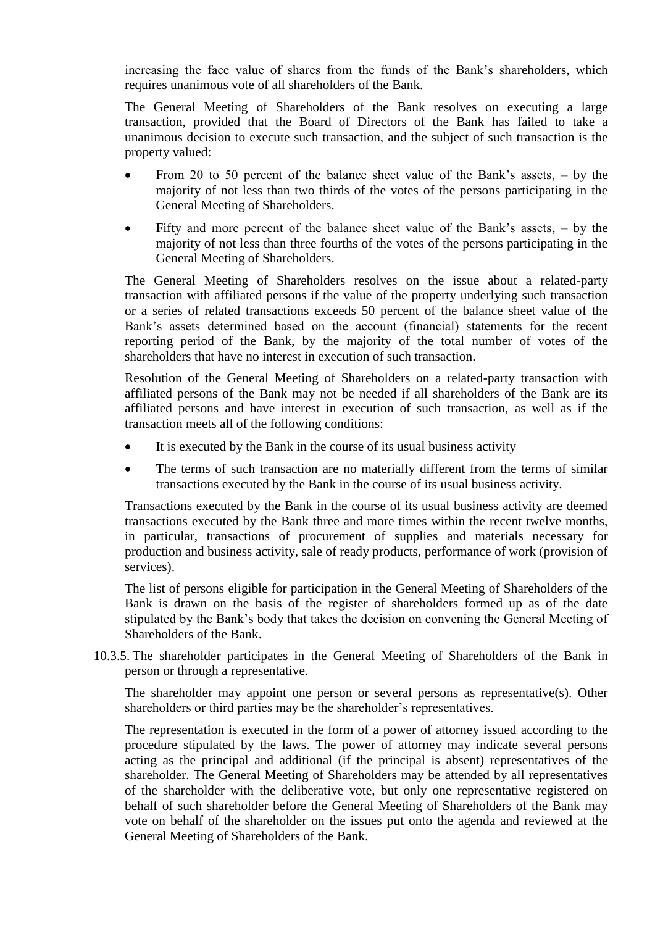increasing the face value of shares from the funds of the Bank"s shareholders, which requires unanimous vote of all shareholders of the Bank.

The General Meeting of Shareholders of the Bank resolves on executing a large transaction, provided that the Board of Directors of the Bank has failed to take a unanimous decision to execute such transaction, and the subject of such transaction is the property valued:

- From 20 to 50 percent of the balance sheet value of the Bank"s assets, by the majority of not less than two thirds of the votes of the persons participating in the General Meeting of Shareholders.
- Fifty and more percent of the balance sheet value of the Bank"s assets, by the majority of not less than three fourths of the votes of the persons participating in the General Meeting of Shareholders.

The General Meeting of Shareholders resolves on the issue about a related-party transaction with affiliated persons if the value of the property underlying such transaction or a series of related transactions exceeds 50 percent of the balance sheet value of the Bank"s assets determined based on the account (financial) statements for the recent reporting period of the Bank, by the majority of the total number of votes of the shareholders that have no interest in execution of such transaction.

Resolution of the General Meeting of Shareholders on a related-party transaction with affiliated persons of the Bank may not be needed if all shareholders of the Bank are its affiliated persons and have interest in execution of such transaction, as well as if the transaction meets all of the following conditions:

- It is executed by the Bank in the course of its usual business activity
- The terms of such transaction are no materially different from the terms of similar transactions executed by the Bank in the course of its usual business activity.

Transactions executed by the Bank in the course of its usual business activity are deemed transactions executed by the Bank three and more times within the recent twelve months, in particular, transactions of procurement of supplies and materials necessary for production and business activity, sale of ready products, performance of work (provision of services).

The list of persons eligible for participation in the General Meeting of Shareholders of the Bank is drawn on the basis of the register of shareholders formed up as of the date stipulated by the Bank"s body that takes the decision on convening the General Meeting of Shareholders of the Bank.

10.3.5. The shareholder participates in the General Meeting of Shareholders of the Bank in person or through a representative.

The shareholder may appoint one person or several persons as representative(s). Other shareholders or third parties may be the shareholder's representatives.

The representation is executed in the form of a power of attorney issued according to the procedure stipulated by the laws. The power of attorney may indicate several persons acting as the principal and additional (if the principal is absent) representatives of the shareholder. The General Meeting of Shareholders may be attended by all representatives of the shareholder with the deliberative vote, but only one representative registered on behalf of such shareholder before the General Meeting of Shareholders of the Bank may vote on behalf of the shareholder on the issues put onto the agenda and reviewed at the General Meeting of Shareholders of the Bank.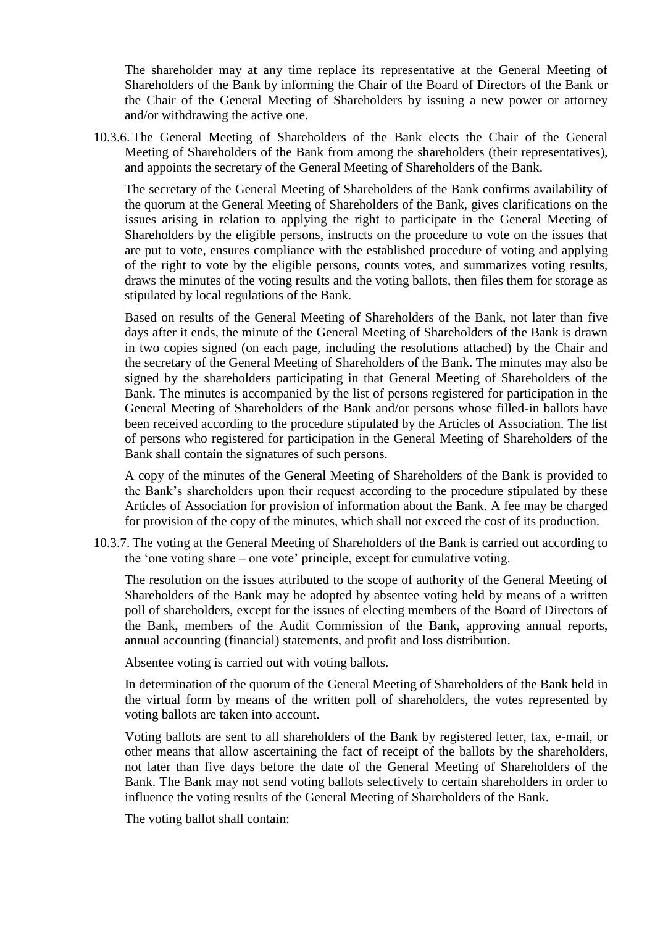The shareholder may at any time replace its representative at the General Meeting of Shareholders of the Bank by informing the Chair of the Board of Directors of the Bank or the Chair of the General Meeting of Shareholders by issuing a new power or attorney and/or withdrawing the active one.

10.3.6. The General Meeting of Shareholders of the Bank elects the Chair of the General Meeting of Shareholders of the Bank from among the shareholders (their representatives), and appoints the secretary of the General Meeting of Shareholders of the Bank.

The secretary of the General Meeting of Shareholders of the Bank confirms availability of the quorum at the General Meeting of Shareholders of the Bank, gives clarifications on the issues arising in relation to applying the right to participate in the General Meeting of Shareholders by the eligible persons, instructs on the procedure to vote on the issues that are put to vote, ensures compliance with the established procedure of voting and applying of the right to vote by the eligible persons, counts votes, and summarizes voting results, draws the minutes of the voting results and the voting ballots, then files them for storage as stipulated by local regulations of the Bank.

Based on results of the General Meeting of Shareholders of the Bank, not later than five days after it ends, the minute of the General Meeting of Shareholders of the Bank is drawn in two copies signed (on each page, including the resolutions attached) by the Chair and the secretary of the General Meeting of Shareholders of the Bank. The minutes may also be signed by the shareholders participating in that General Meeting of Shareholders of the Bank. The minutes is accompanied by the list of persons registered for participation in the General Meeting of Shareholders of the Bank and/or persons whose filled-in ballots have been received according to the procedure stipulated by the Articles of Association. The list of persons who registered for participation in the General Meeting of Shareholders of the Bank shall contain the signatures of such persons.

A copy of the minutes of the General Meeting of Shareholders of the Bank is provided to the Bank"s shareholders upon their request according to the procedure stipulated by these Articles of Association for provision of information about the Bank. A fee may be charged for provision of the copy of the minutes, which shall not exceed the cost of its production.

10.3.7. The voting at the General Meeting of Shareholders of the Bank is carried out according to the "one voting share – one vote" principle, except for cumulative voting.

The resolution on the issues attributed to the scope of authority of the General Meeting of Shareholders of the Bank may be adopted by absentee voting held by means of a written poll of shareholders, except for the issues of electing members of the Board of Directors of the Bank, members of the Audit Commission of the Bank, approving annual reports, annual accounting (financial) statements, and profit and loss distribution.

Absentee voting is carried out with voting ballots.

In determination of the quorum of the General Meeting of Shareholders of the Bank held in the virtual form by means of the written poll of shareholders, the votes represented by voting ballots are taken into account.

Voting ballots are sent to all shareholders of the Bank by registered letter, fax, e-mail, or other means that allow ascertaining the fact of receipt of the ballots by the shareholders, not later than five days before the date of the General Meeting of Shareholders of the Bank. The Bank may not send voting ballots selectively to certain shareholders in order to influence the voting results of the General Meeting of Shareholders of the Bank.

The voting ballot shall contain: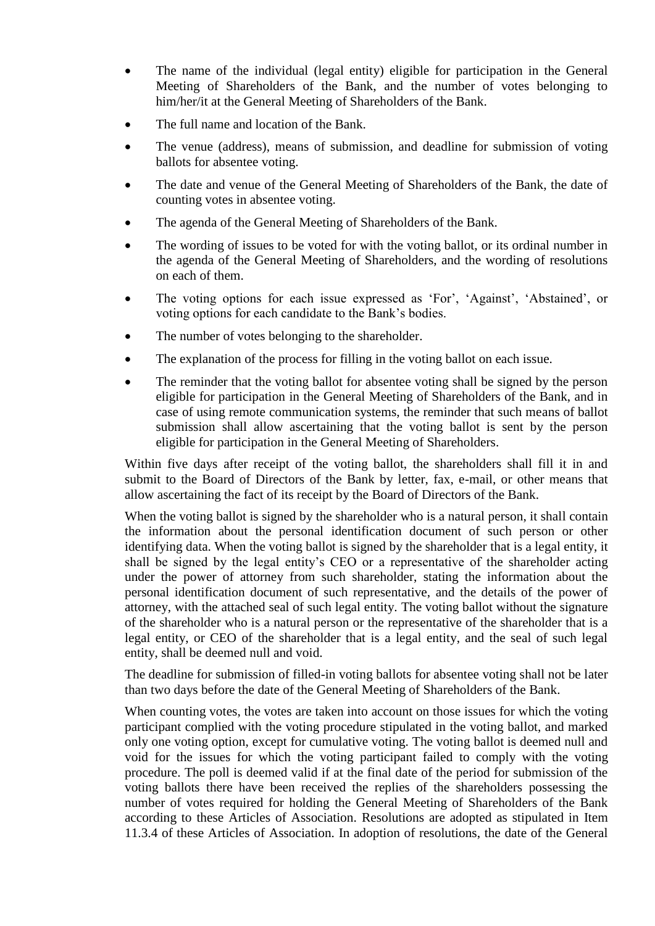- The name of the individual (legal entity) eligible for participation in the General Meeting of Shareholders of the Bank, and the number of votes belonging to him/her/it at the General Meeting of Shareholders of the Bank.
- The full name and location of the Bank.
- The venue (address), means of submission, and deadline for submission of voting ballots for absentee voting.
- The date and venue of the General Meeting of Shareholders of the Bank, the date of counting votes in absentee voting.
- The agenda of the General Meeting of Shareholders of the Bank.
- The wording of issues to be voted for with the voting ballot, or its ordinal number in the agenda of the General Meeting of Shareholders, and the wording of resolutions on each of them.
- The voting options for each issue expressed as 'For', 'Against', 'Abstained', or voting options for each candidate to the Bank"s bodies.
- The number of votes belonging to the shareholder.
- The explanation of the process for filling in the voting ballot on each issue.
- The reminder that the voting ballot for absentee voting shall be signed by the person eligible for participation in the General Meeting of Shareholders of the Bank, and in case of using remote communication systems, the reminder that such means of ballot submission shall allow ascertaining that the voting ballot is sent by the person eligible for participation in the General Meeting of Shareholders.

Within five days after receipt of the voting ballot, the shareholders shall fill it in and submit to the Board of Directors of the Bank by letter, fax, e-mail, or other means that allow ascertaining the fact of its receipt by the Board of Directors of the Bank.

When the voting ballot is signed by the shareholder who is a natural person, it shall contain the information about the personal identification document of such person or other identifying data. When the voting ballot is signed by the shareholder that is a legal entity, it shall be signed by the legal entity"s CEO or a representative of the shareholder acting under the power of attorney from such shareholder, stating the information about the personal identification document of such representative, and the details of the power of attorney, with the attached seal of such legal entity. The voting ballot without the signature of the shareholder who is a natural person or the representative of the shareholder that is a legal entity, or CEO of the shareholder that is a legal entity, and the seal of such legal entity, shall be deemed null and void.

The deadline for submission of filled-in voting ballots for absentee voting shall not be later than two days before the date of the General Meeting of Shareholders of the Bank.

When counting votes, the votes are taken into account on those issues for which the voting participant complied with the voting procedure stipulated in the voting ballot, and marked only one voting option, except for cumulative voting. The voting ballot is deemed null and void for the issues for which the voting participant failed to comply with the voting procedure. The poll is deemed valid if at the final date of the period for submission of the voting ballots there have been received the replies of the shareholders possessing the number of votes required for holding the General Meeting of Shareholders of the Bank according to these Articles of Association. Resolutions are adopted as stipulated in Item 11.3.4 of these Articles of Association. In adoption of resolutions, the date of the General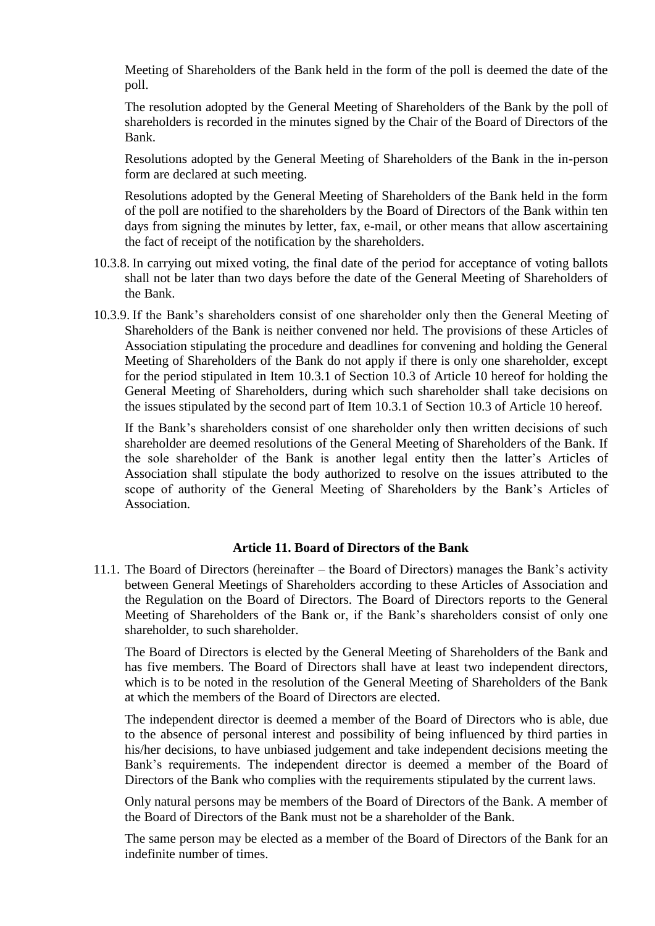Meeting of Shareholders of the Bank held in the form of the poll is deemed the date of the poll.

The resolution adopted by the General Meeting of Shareholders of the Bank by the poll of shareholders is recorded in the minutes signed by the Chair of the Board of Directors of the Bank.

Resolutions adopted by the General Meeting of Shareholders of the Bank in the in-person form are declared at such meeting.

Resolutions adopted by the General Meeting of Shareholders of the Bank held in the form of the poll are notified to the shareholders by the Board of Directors of the Bank within ten days from signing the minutes by letter, fax, e-mail, or other means that allow ascertaining the fact of receipt of the notification by the shareholders.

- 10.3.8. In carrying out mixed voting, the final date of the period for acceptance of voting ballots shall not be later than two days before the date of the General Meeting of Shareholders of the Bank.
- 10.3.9. If the Bank"s shareholders consist of one shareholder only then the General Meeting of Shareholders of the Bank is neither convened nor held. The provisions of these Articles of Association stipulating the procedure and deadlines for convening and holding the General Meeting of Shareholders of the Bank do not apply if there is only one shareholder, except for the period stipulated in Item 10.3.1 of Section 10.3 of Article 10 hereof for holding the General Meeting of Shareholders, during which such shareholder shall take decisions on the issues stipulated by the second part of Item 10.3.1 of Section 10.3 of Article 10 hereof.

If the Bank"s shareholders consist of one shareholder only then written decisions of such shareholder are deemed resolutions of the General Meeting of Shareholders of the Bank. If the sole shareholder of the Bank is another legal entity then the latter"s Articles of Association shall stipulate the body authorized to resolve on the issues attributed to the scope of authority of the General Meeting of Shareholders by the Bank"s Articles of Association.

#### **Article 11. Board of Directors of the Bank**

<span id="page-22-0"></span>11.1. The Board of Directors (hereinafter – the Board of Directors) manages the Bank"s activity between General Meetings of Shareholders according to these Articles of Association and the Regulation on the Board of Directors. The Board of Directors reports to the General Meeting of Shareholders of the Bank or, if the Bank"s shareholders consist of only one shareholder, to such shareholder.

The Board of Directors is elected by the General Meeting of Shareholders of the Bank and has five members. The Board of Directors shall have at least two independent directors, which is to be noted in the resolution of the General Meeting of Shareholders of the Bank at which the members of the Board of Directors are elected.

The independent director is deemed a member of the Board of Directors who is able, due to the absence of personal interest and possibility of being influenced by third parties in his/her decisions, to have unbiased judgement and take independent decisions meeting the Bank"s requirements. The independent director is deemed a member of the Board of Directors of the Bank who complies with the requirements stipulated by the current laws.

Only natural persons may be members of the Board of Directors of the Bank. A member of the Board of Directors of the Bank must not be a shareholder of the Bank.

The same person may be elected as a member of the Board of Directors of the Bank for an indefinite number of times.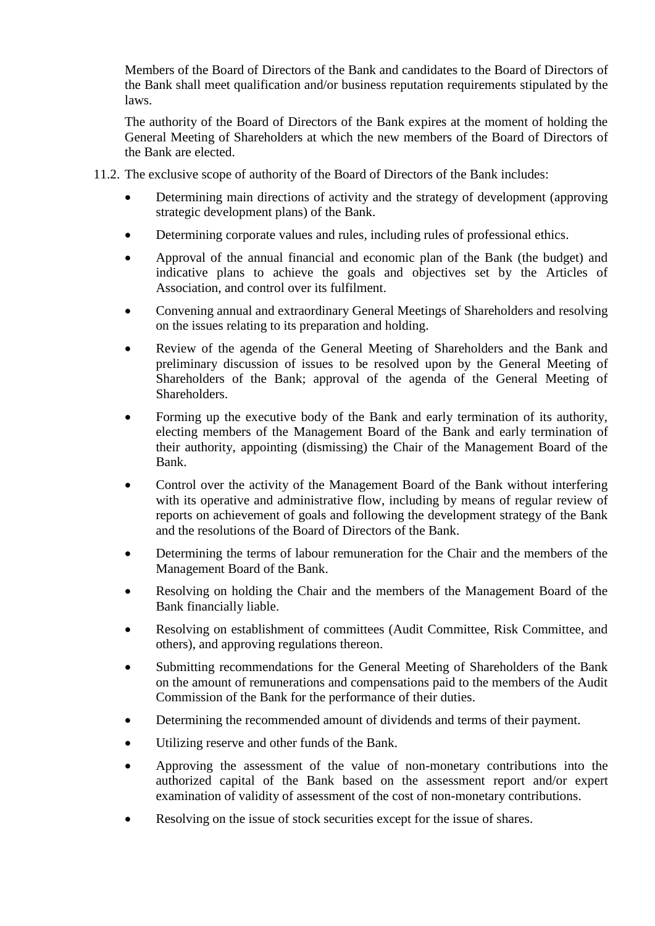Members of the Board of Directors of the Bank and candidates to the Board of Directors of the Bank shall meet qualification and/or business reputation requirements stipulated by the laws.

The authority of the Board of Directors of the Bank expires at the moment of holding the General Meeting of Shareholders at which the new members of the Board of Directors of the Bank are elected.

- 11.2. The exclusive scope of authority of the Board of Directors of the Bank includes:
	- Determining main directions of activity and the strategy of development (approving strategic development plans) of the Bank.
	- Determining corporate values and rules, including rules of professional ethics.
	- Approval of the annual financial and economic plan of the Bank (the budget) and indicative plans to achieve the goals and objectives set by the Articles of Association, and control over its fulfilment.
	- Convening annual and extraordinary General Meetings of Shareholders and resolving on the issues relating to its preparation and holding.
	- Review of the agenda of the General Meeting of Shareholders and the Bank and preliminary discussion of issues to be resolved upon by the General Meeting of Shareholders of the Bank; approval of the agenda of the General Meeting of Shareholders.
	- Forming up the executive body of the Bank and early termination of its authority, electing members of the Management Board of the Bank and early termination of their authority, appointing (dismissing) the Chair of the Management Board of the Bank.
	- Control over the activity of the Management Board of the Bank without interfering with its operative and administrative flow, including by means of regular review of reports on achievement of goals and following the development strategy of the Bank and the resolutions of the Board of Directors of the Bank.
	- Determining the terms of labour remuneration for the Chair and the members of the Management Board of the Bank.
	- Resolving on holding the Chair and the members of the Management Board of the Bank financially liable.
	- Resolving on establishment of committees (Audit Committee, Risk Committee, and others), and approving regulations thereon.
	- Submitting recommendations for the General Meeting of Shareholders of the Bank on the amount of remunerations and compensations paid to the members of the Audit Commission of the Bank for the performance of their duties.
	- Determining the recommended amount of dividends and terms of their payment.
	- Utilizing reserve and other funds of the Bank.
	- Approving the assessment of the value of non-monetary contributions into the authorized capital of the Bank based on the assessment report and/or expert examination of validity of assessment of the cost of non-monetary contributions.
	- Resolving on the issue of stock securities except for the issue of shares.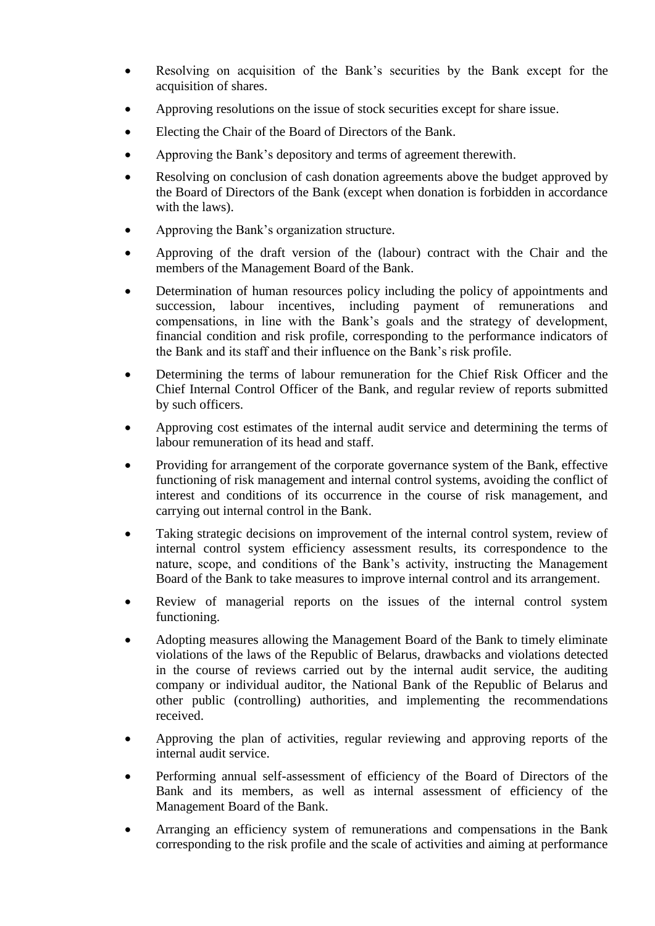- Resolving on acquisition of the Bank"s securities by the Bank except for the acquisition of shares.
- Approving resolutions on the issue of stock securities except for share issue.
- Electing the Chair of the Board of Directors of the Bank.
- Approving the Bank"s depository and terms of agreement therewith.
- Resolving on conclusion of cash donation agreements above the budget approved by the Board of Directors of the Bank (except when donation is forbidden in accordance with the laws).
- Approving the Bank's organization structure.
- Approving of the draft version of the (labour) contract with the Chair and the members of the Management Board of the Bank.
- Determination of human resources policy including the policy of appointments and succession, labour incentives, including payment of remunerations and compensations, in line with the Bank"s goals and the strategy of development, financial condition and risk profile, corresponding to the performance indicators of the Bank and its staff and their influence on the Bank"s risk profile.
- Determining the terms of labour remuneration for the Chief Risk Officer and the Chief Internal Control Officer of the Bank, and regular review of reports submitted by such officers.
- Approving cost estimates of the internal audit service and determining the terms of labour remuneration of its head and staff.
- Providing for arrangement of the corporate governance system of the Bank, effective functioning of risk management and internal control systems, avoiding the conflict of interest and conditions of its occurrence in the course of risk management, and carrying out internal control in the Bank.
- Taking strategic decisions on improvement of the internal control system, review of internal control system efficiency assessment results, its correspondence to the nature, scope, and conditions of the Bank's activity, instructing the Management Board of the Bank to take measures to improve internal control and its arrangement.
- Review of managerial reports on the issues of the internal control system functioning.
- Adopting measures allowing the Management Board of the Bank to timely eliminate violations of the laws of the Republic of Belarus, drawbacks and violations detected in the course of reviews carried out by the internal audit service, the auditing company or individual auditor, the National Bank of the Republic of Belarus and other public (controlling) authorities, and implementing the recommendations received.
- Approving the plan of activities, regular reviewing and approving reports of the internal audit service.
- Performing annual self-assessment of efficiency of the Board of Directors of the Bank and its members, as well as internal assessment of efficiency of the Management Board of the Bank.
- Arranging an efficiency system of remunerations and compensations in the Bank corresponding to the risk profile and the scale of activities and aiming at performance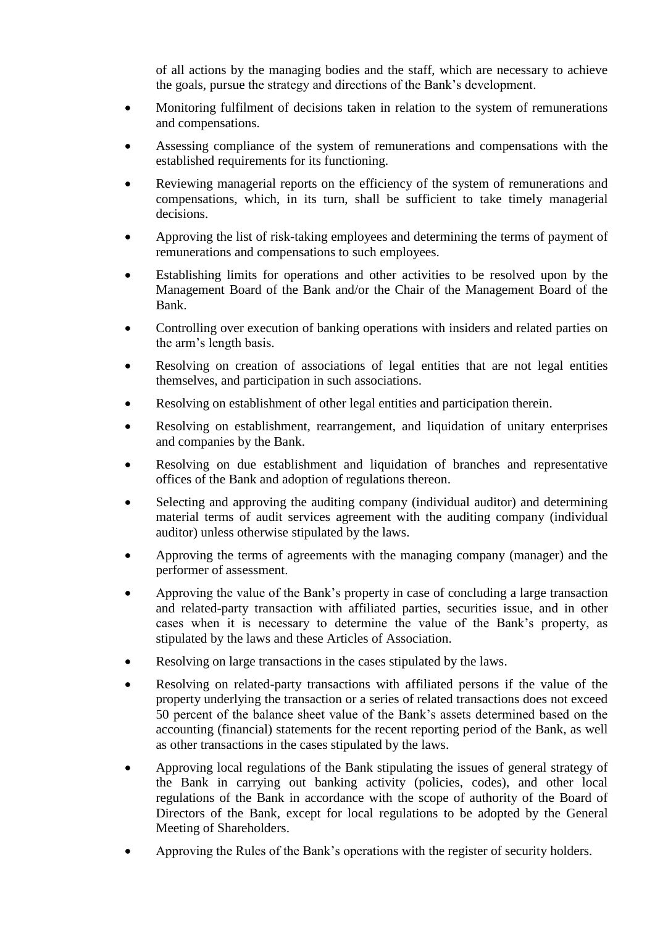of all actions by the managing bodies and the staff, which are necessary to achieve the goals, pursue the strategy and directions of the Bank"s development.

- Monitoring fulfilment of decisions taken in relation to the system of remunerations and compensations.
- Assessing compliance of the system of remunerations and compensations with the established requirements for its functioning.
- Reviewing managerial reports on the efficiency of the system of remunerations and compensations, which, in its turn, shall be sufficient to take timely managerial decisions.
- Approving the list of risk-taking employees and determining the terms of payment of remunerations and compensations to such employees.
- Establishing limits for operations and other activities to be resolved upon by the Management Board of the Bank and/or the Chair of the Management Board of the Bank.
- Controlling over execution of banking operations with insiders and related parties on the arm"s length basis.
- Resolving on creation of associations of legal entities that are not legal entities themselves, and participation in such associations.
- Resolving on establishment of other legal entities and participation therein.
- Resolving on establishment, rearrangement, and liquidation of unitary enterprises and companies by the Bank.
- Resolving on due establishment and liquidation of branches and representative offices of the Bank and adoption of regulations thereon.
- Selecting and approving the auditing company (individual auditor) and determining material terms of audit services agreement with the auditing company (individual auditor) unless otherwise stipulated by the laws.
- Approving the terms of agreements with the managing company (manager) and the performer of assessment.
- Approving the value of the Bank"s property in case of concluding a large transaction and related-party transaction with affiliated parties, securities issue, and in other cases when it is necessary to determine the value of the Bank"s property, as stipulated by the laws and these Articles of Association.
- Resolving on large transactions in the cases stipulated by the laws.
- Resolving on related-party transactions with affiliated persons if the value of the property underlying the transaction or a series of related transactions does not exceed 50 percent of the balance sheet value of the Bank"s assets determined based on the accounting (financial) statements for the recent reporting period of the Bank, as well as other transactions in the cases stipulated by the laws.
- Approving local regulations of the Bank stipulating the issues of general strategy of the Bank in carrying out banking activity (policies, codes), and other local regulations of the Bank in accordance with the scope of authority of the Board of Directors of the Bank, except for local regulations to be adopted by the General Meeting of Shareholders.
- Approving the Rules of the Bank"s operations with the register of security holders.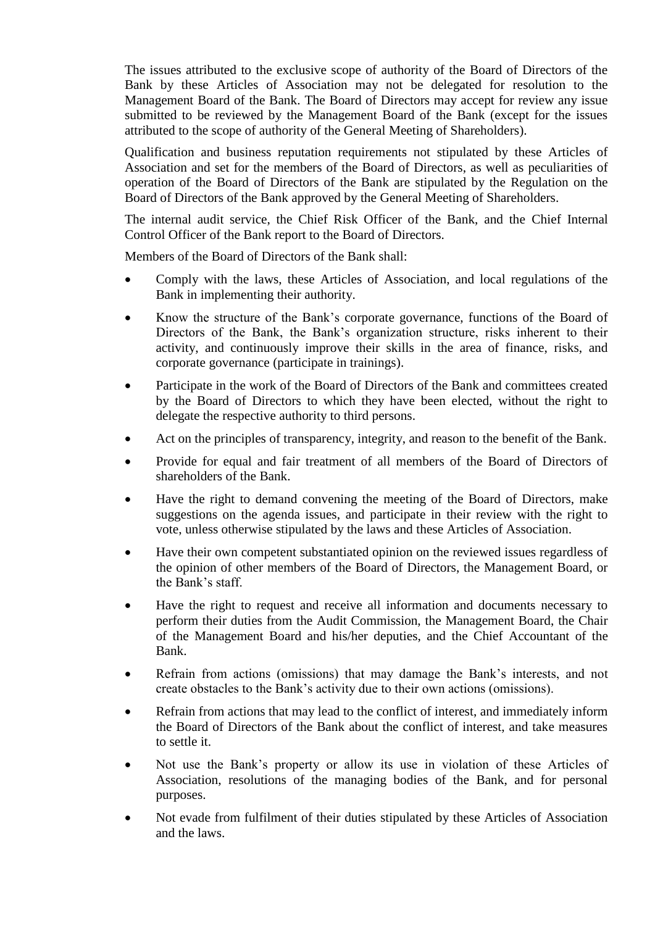The issues attributed to the exclusive scope of authority of the Board of Directors of the Bank by these Articles of Association may not be delegated for resolution to the Management Board of the Bank. The Board of Directors may accept for review any issue submitted to be reviewed by the Management Board of the Bank (except for the issues attributed to the scope of authority of the General Meeting of Shareholders).

Qualification and business reputation requirements not stipulated by these Articles of Association and set for the members of the Board of Directors, as well as peculiarities of operation of the Board of Directors of the Bank are stipulated by the Regulation on the Board of Directors of the Bank approved by the General Meeting of Shareholders.

The internal audit service, the Chief Risk Officer of the Bank, and the Chief Internal Control Officer of the Bank report to the Board of Directors.

Members of the Board of Directors of the Bank shall:

- Comply with the laws, these Articles of Association, and local regulations of the Bank in implementing their authority.
- Know the structure of the Bank's corporate governance, functions of the Board of Directors of the Bank, the Bank"s organization structure, risks inherent to their activity, and continuously improve their skills in the area of finance, risks, and corporate governance (participate in trainings).
- Participate in the work of the Board of Directors of the Bank and committees created by the Board of Directors to which they have been elected, without the right to delegate the respective authority to third persons.
- Act on the principles of transparency, integrity, and reason to the benefit of the Bank.
- Provide for equal and fair treatment of all members of the Board of Directors of shareholders of the Bank.
- Have the right to demand convening the meeting of the Board of Directors, make suggestions on the agenda issues, and participate in their review with the right to vote, unless otherwise stipulated by the laws and these Articles of Association.
- Have their own competent substantiated opinion on the reviewed issues regardless of the opinion of other members of the Board of Directors, the Management Board, or the Bank's staff.
- Have the right to request and receive all information and documents necessary to perform their duties from the Audit Commission, the Management Board, the Chair of the Management Board and his/her deputies, and the Chief Accountant of the Bank.
- Refrain from actions (omissions) that may damage the Bank"s interests, and not create obstacles to the Bank"s activity due to their own actions (omissions).
- Refrain from actions that may lead to the conflict of interest, and immediately inform the Board of Directors of the Bank about the conflict of interest, and take measures to settle it.
- Not use the Bank"s property or allow its use in violation of these Articles of Association, resolutions of the managing bodies of the Bank, and for personal purposes.
- Not evade from fulfilment of their duties stipulated by these Articles of Association and the laws.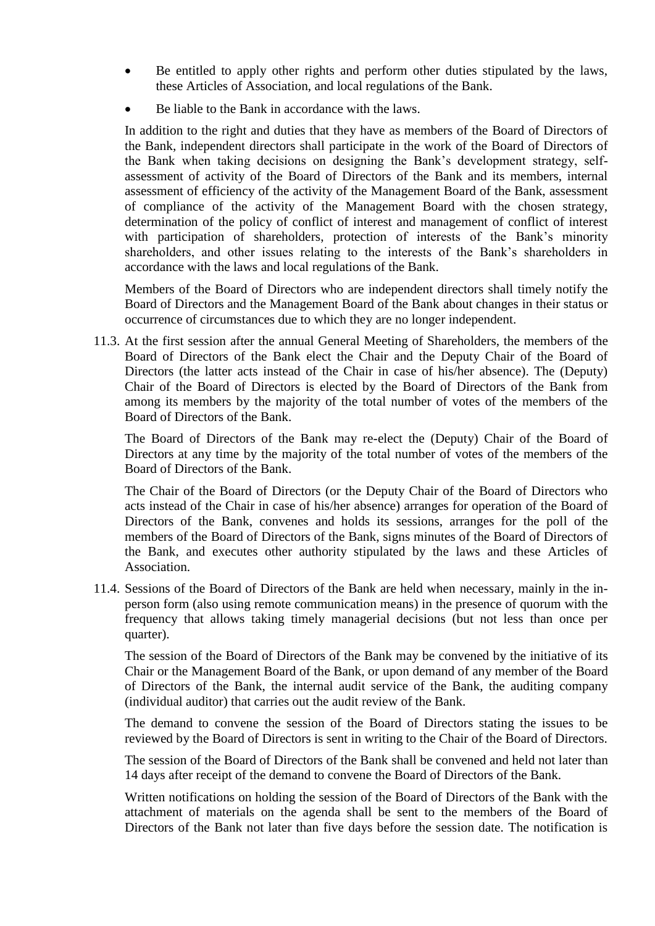- Be entitled to apply other rights and perform other duties stipulated by the laws, these Articles of Association, and local regulations of the Bank.
- Be liable to the Bank in accordance with the laws.

In addition to the right and duties that they have as members of the Board of Directors of the Bank, independent directors shall participate in the work of the Board of Directors of the Bank when taking decisions on designing the Bank"s development strategy, selfassessment of activity of the Board of Directors of the Bank and its members, internal assessment of efficiency of the activity of the Management Board of the Bank, assessment of compliance of the activity of the Management Board with the chosen strategy, determination of the policy of conflict of interest and management of conflict of interest with participation of shareholders, protection of interests of the Bank's minority shareholders, and other issues relating to the interests of the Bank"s shareholders in accordance with the laws and local regulations of the Bank.

Members of the Board of Directors who are independent directors shall timely notify the Board of Directors and the Management Board of the Bank about changes in their status or occurrence of circumstances due to which they are no longer independent.

11.3. At the first session after the annual General Meeting of Shareholders, the members of the Board of Directors of the Bank elect the Chair and the Deputy Chair of the Board of Directors (the latter acts instead of the Chair in case of his/her absence). The (Deputy) Chair of the Board of Directors is elected by the Board of Directors of the Bank from among its members by the majority of the total number of votes of the members of the Board of Directors of the Bank.

The Board of Directors of the Bank may re-elect the (Deputy) Chair of the Board of Directors at any time by the majority of the total number of votes of the members of the Board of Directors of the Bank.

The Chair of the Board of Directors (or the Deputy Chair of the Board of Directors who acts instead of the Chair in case of his/her absence) arranges for operation of the Board of Directors of the Bank, convenes and holds its sessions, arranges for the poll of the members of the Board of Directors of the Bank, signs minutes of the Board of Directors of the Bank, and executes other authority stipulated by the laws and these Articles of Association.

11.4. Sessions of the Board of Directors of the Bank are held when necessary, mainly in the inperson form (also using remote communication means) in the presence of quorum with the frequency that allows taking timely managerial decisions (but not less than once per quarter).

The session of the Board of Directors of the Bank may be convened by the initiative of its Chair or the Management Board of the Bank, or upon demand of any member of the Board of Directors of the Bank, the internal audit service of the Bank, the auditing company (individual auditor) that carries out the audit review of the Bank.

The demand to convene the session of the Board of Directors stating the issues to be reviewed by the Board of Directors is sent in writing to the Chair of the Board of Directors.

The session of the Board of Directors of the Bank shall be convened and held not later than 14 days after receipt of the demand to convene the Board of Directors of the Bank.

Written notifications on holding the session of the Board of Directors of the Bank with the attachment of materials on the agenda shall be sent to the members of the Board of Directors of the Bank not later than five days before the session date. The notification is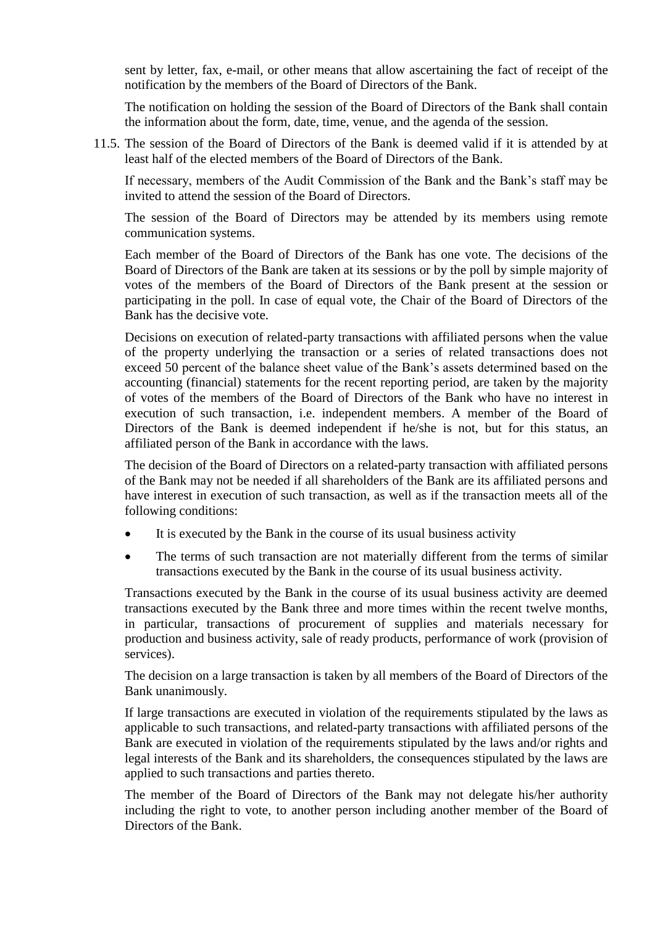sent by letter, fax, e-mail, or other means that allow ascertaining the fact of receipt of the notification by the members of the Board of Directors of the Bank.

The notification on holding the session of the Board of Directors of the Bank shall contain the information about the form, date, time, venue, and the agenda of the session.

11.5. The session of the Board of Directors of the Bank is deemed valid if it is attended by at least half of the elected members of the Board of Directors of the Bank.

If necessary, members of the Audit Commission of the Bank and the Bank"s staff may be invited to attend the session of the Board of Directors.

The session of the Board of Directors may be attended by its members using remote communication systems.

Each member of the Board of Directors of the Bank has one vote. The decisions of the Board of Directors of the Bank are taken at its sessions or by the poll by simple majority of votes of the members of the Board of Directors of the Bank present at the session or participating in the poll. In case of equal vote, the Chair of the Board of Directors of the Bank has the decisive vote.

Decisions on execution of related-party transactions with affiliated persons when the value of the property underlying the transaction or a series of related transactions does not exceed 50 percent of the balance sheet value of the Bank"s assets determined based on the accounting (financial) statements for the recent reporting period, are taken by the majority of votes of the members of the Board of Directors of the Bank who have no interest in execution of such transaction, i.e. independent members. A member of the Board of Directors of the Bank is deemed independent if he/she is not, but for this status, an affiliated person of the Bank in accordance with the laws.

The decision of the Board of Directors on a related-party transaction with affiliated persons of the Bank may not be needed if all shareholders of the Bank are its affiliated persons and have interest in execution of such transaction, as well as if the transaction meets all of the following conditions:

- It is executed by the Bank in the course of its usual business activity
- The terms of such transaction are not materially different from the terms of similar transactions executed by the Bank in the course of its usual business activity.

Transactions executed by the Bank in the course of its usual business activity are deemed transactions executed by the Bank three and more times within the recent twelve months, in particular, transactions of procurement of supplies and materials necessary for production and business activity, sale of ready products, performance of work (provision of services).

The decision on a large transaction is taken by all members of the Board of Directors of the Bank unanimously.

If large transactions are executed in violation of the requirements stipulated by the laws as applicable to such transactions, and related-party transactions with affiliated persons of the Bank are executed in violation of the requirements stipulated by the laws and/or rights and legal interests of the Bank and its shareholders, the consequences stipulated by the laws are applied to such transactions and parties thereto.

The member of the Board of Directors of the Bank may not delegate his/her authority including the right to vote, to another person including another member of the Board of Directors of the Bank.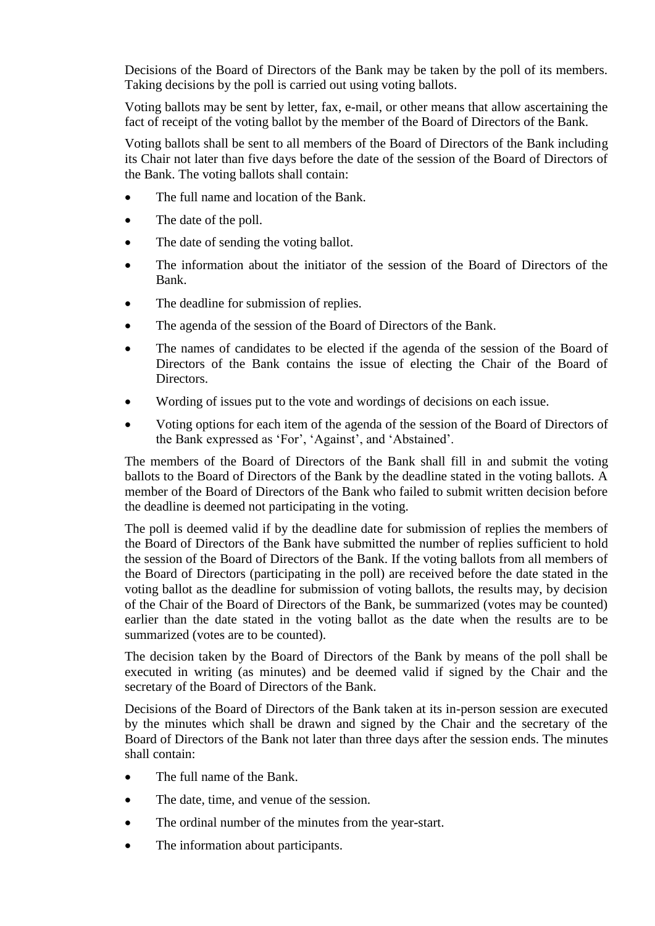Decisions of the Board of Directors of the Bank may be taken by the poll of its members. Taking decisions by the poll is carried out using voting ballots.

Voting ballots may be sent by letter, fax, e-mail, or other means that allow ascertaining the fact of receipt of the voting ballot by the member of the Board of Directors of the Bank.

Voting ballots shall be sent to all members of the Board of Directors of the Bank including its Chair not later than five days before the date of the session of the Board of Directors of the Bank. The voting ballots shall contain:

- The full name and location of the Bank.
- The date of the poll.
- The date of sending the voting ballot.
- The information about the initiator of the session of the Board of Directors of the Bank.
- The deadline for submission of replies.
- The agenda of the session of the Board of Directors of the Bank.
- The names of candidates to be elected if the agenda of the session of the Board of Directors of the Bank contains the issue of electing the Chair of the Board of Directors.
- Wording of issues put to the vote and wordings of decisions on each issue.
- Voting options for each item of the agenda of the session of the Board of Directors of the Bank expressed as 'For', 'Against', and 'Abstained'.

The members of the Board of Directors of the Bank shall fill in and submit the voting ballots to the Board of Directors of the Bank by the deadline stated in the voting ballots. A member of the Board of Directors of the Bank who failed to submit written decision before the deadline is deemed not participating in the voting.

The poll is deemed valid if by the deadline date for submission of replies the members of the Board of Directors of the Bank have submitted the number of replies sufficient to hold the session of the Board of Directors of the Bank. If the voting ballots from all members of the Board of Directors (participating in the poll) are received before the date stated in the voting ballot as the deadline for submission of voting ballots, the results may, by decision of the Chair of the Board of Directors of the Bank, be summarized (votes may be counted) earlier than the date stated in the voting ballot as the date when the results are to be summarized (votes are to be counted).

The decision taken by the Board of Directors of the Bank by means of the poll shall be executed in writing (as minutes) and be deemed valid if signed by the Chair and the secretary of the Board of Directors of the Bank.

Decisions of the Board of Directors of the Bank taken at its in-person session are executed by the minutes which shall be drawn and signed by the Chair and the secretary of the Board of Directors of the Bank not later than three days after the session ends. The minutes shall contain:

- The full name of the Bank.
- The date, time, and venue of the session.
- The ordinal number of the minutes from the year-start.
- The information about participants.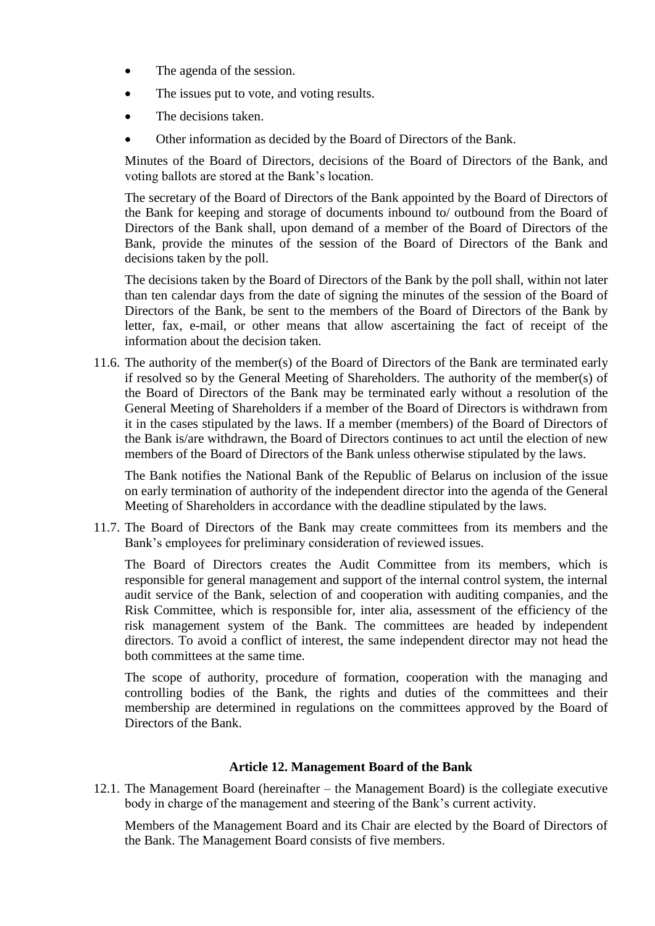- The agenda of the session.
- The issues put to vote, and voting results.
- The decisions taken.
- Other information as decided by the Board of Directors of the Bank.

Minutes of the Board of Directors, decisions of the Board of Directors of the Bank, and voting ballots are stored at the Bank"s location.

The secretary of the Board of Directors of the Bank appointed by the Board of Directors of the Bank for keeping and storage of documents inbound to/ outbound from the Board of Directors of the Bank shall, upon demand of a member of the Board of Directors of the Bank, provide the minutes of the session of the Board of Directors of the Bank and decisions taken by the poll.

The decisions taken by the Board of Directors of the Bank by the poll shall, within not later than ten calendar days from the date of signing the minutes of the session of the Board of Directors of the Bank, be sent to the members of the Board of Directors of the Bank by letter, fax, e-mail, or other means that allow ascertaining the fact of receipt of the information about the decision taken.

11.6. The authority of the member(s) of the Board of Directors of the Bank are terminated early if resolved so by the General Meeting of Shareholders. The authority of the member(s) of the Board of Directors of the Bank may be terminated early without a resolution of the General Meeting of Shareholders if a member of the Board of Directors is withdrawn from it in the cases stipulated by the laws. If a member (members) of the Board of Directors of the Bank is/are withdrawn, the Board of Directors continues to act until the election of new members of the Board of Directors of the Bank unless otherwise stipulated by the laws.

The Bank notifies the National Bank of the Republic of Belarus on inclusion of the issue on early termination of authority of the independent director into the agenda of the General Meeting of Shareholders in accordance with the deadline stipulated by the laws.

11.7. The Board of Directors of the Bank may create committees from its members and the Bank's employees for preliminary consideration of reviewed issues.

The Board of Directors creates the Audit Committee from its members, which is responsible for general management and support of the internal control system, the internal audit service of the Bank, selection of and cooperation with auditing companies, and the Risk Committee, which is responsible for, inter alia, assessment of the efficiency of the risk management system of the Bank. The committees are headed by independent directors. To avoid a conflict of interest, the same independent director may not head the both committees at the same time.

The scope of authority, procedure of formation, cooperation with the managing and controlling bodies of the Bank, the rights and duties of the committees and their membership are determined in regulations on the committees approved by the Board of Directors of the Bank.

#### **Article 12. Management Board of the Bank**

<span id="page-30-0"></span>12.1. The Management Board (hereinafter – the Management Board) is the collegiate executive body in charge of the management and steering of the Bank's current activity.

Members of the Management Board and its Chair are elected by the Board of Directors of the Bank. The Management Board consists of five members.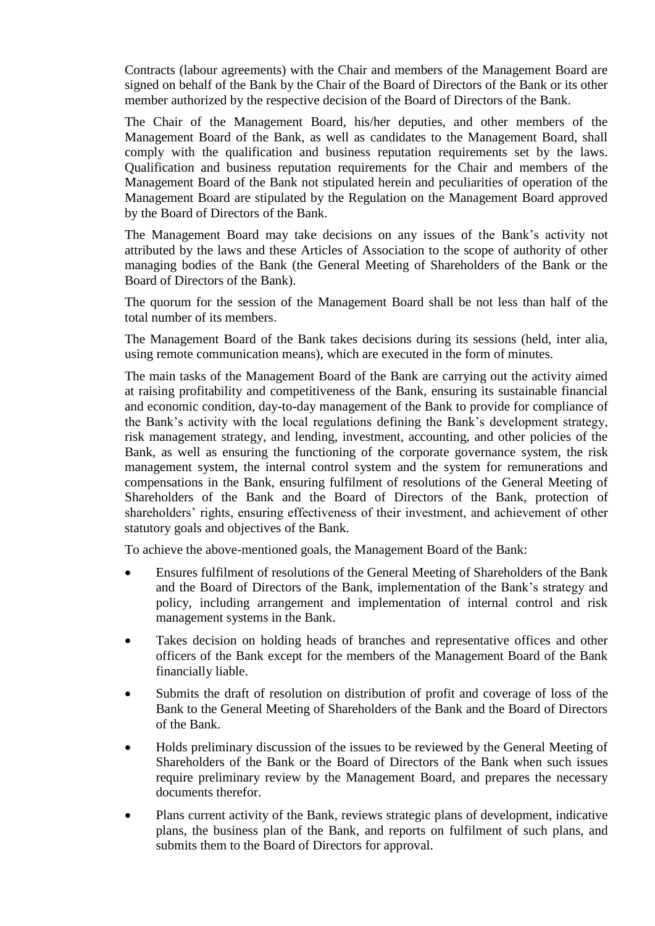Contracts (labour agreements) with the Chair and members of the Management Board are signed on behalf of the Bank by the Chair of the Board of Directors of the Bank or its other member authorized by the respective decision of the Board of Directors of the Bank.

The Chair of the Management Board, his/her deputies, and other members of the Management Board of the Bank, as well as candidates to the Management Board, shall comply with the qualification and business reputation requirements set by the laws. Qualification and business reputation requirements for the Chair and members of the Management Board of the Bank not stipulated herein and peculiarities of operation of the Management Board are stipulated by the Regulation on the Management Board approved by the Board of Directors of the Bank.

The Management Board may take decisions on any issues of the Bank"s activity not attributed by the laws and these Articles of Association to the scope of authority of other managing bodies of the Bank (the General Meeting of Shareholders of the Bank or the Board of Directors of the Bank).

The quorum for the session of the Management Board shall be not less than half of the total number of its members.

The Management Board of the Bank takes decisions during its sessions (held, inter alia, using remote communication means), which are executed in the form of minutes.

The main tasks of the Management Board of the Bank are carrying out the activity aimed at raising profitability and competitiveness of the Bank, ensuring its sustainable financial and economic condition, day-to-day management of the Bank to provide for compliance of the Bank"s activity with the local regulations defining the Bank"s development strategy, risk management strategy, and lending, investment, accounting, and other policies of the Bank, as well as ensuring the functioning of the corporate governance system, the risk management system, the internal control system and the system for remunerations and compensations in the Bank, ensuring fulfilment of resolutions of the General Meeting of Shareholders of the Bank and the Board of Directors of the Bank, protection of shareholders' rights, ensuring effectiveness of their investment, and achievement of other statutory goals and objectives of the Bank.

To achieve the above-mentioned goals, the Management Board of the Bank:

- Ensures fulfilment of resolutions of the General Meeting of Shareholders of the Bank and the Board of Directors of the Bank, implementation of the Bank"s strategy and policy, including arrangement and implementation of internal control and risk management systems in the Bank.
- Takes decision on holding heads of branches and representative offices and other officers of the Bank except for the members of the Management Board of the Bank financially liable.
- Submits the draft of resolution on distribution of profit and coverage of loss of the Bank to the General Meeting of Shareholders of the Bank and the Board of Directors of the Bank.
- Holds preliminary discussion of the issues to be reviewed by the General Meeting of Shareholders of the Bank or the Board of Directors of the Bank when such issues require preliminary review by the Management Board, and prepares the necessary documents therefor.
- Plans current activity of the Bank, reviews strategic plans of development, indicative plans, the business plan of the Bank, and reports on fulfilment of such plans, and submits them to the Board of Directors for approval.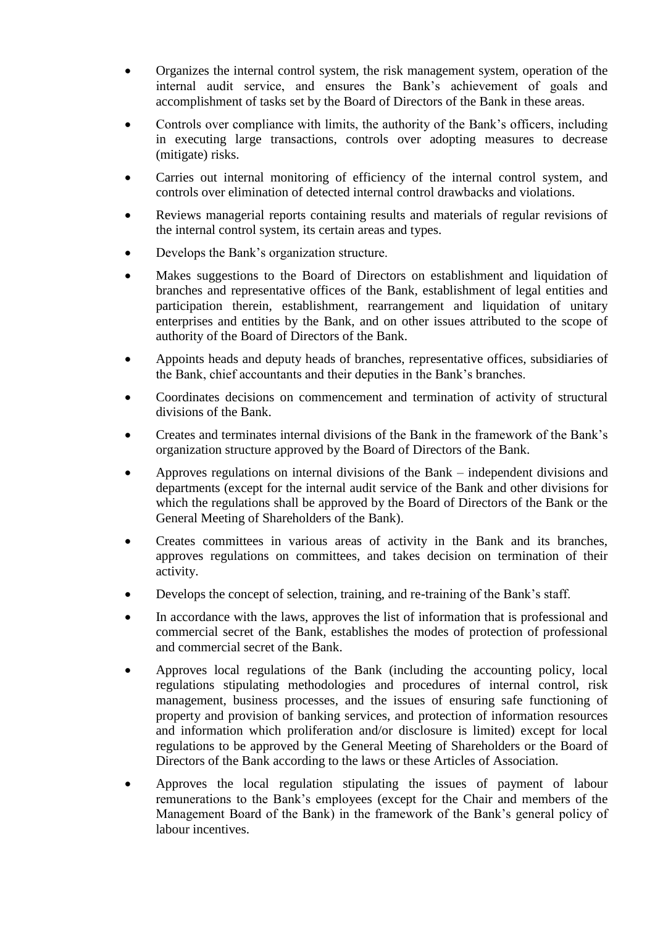- Organizes the internal control system, the risk management system, operation of the internal audit service, and ensures the Bank"s achievement of goals and accomplishment of tasks set by the Board of Directors of the Bank in these areas.
- Controls over compliance with limits, the authority of the Bank"s officers, including in executing large transactions, controls over adopting measures to decrease (mitigate) risks.
- Carries out internal monitoring of efficiency of the internal control system, and controls over elimination of detected internal control drawbacks and violations.
- Reviews managerial reports containing results and materials of regular revisions of the internal control system, its certain areas and types.
- Develops the Bank"s organization structure.
- Makes suggestions to the Board of Directors on establishment and liquidation of branches and representative offices of the Bank, establishment of legal entities and participation therein, establishment, rearrangement and liquidation of unitary enterprises and entities by the Bank, and on other issues attributed to the scope of authority of the Board of Directors of the Bank.
- Appoints heads and deputy heads of branches, representative offices, subsidiaries of the Bank, chief accountants and their deputies in the Bank"s branches.
- Coordinates decisions on commencement and termination of activity of structural divisions of the Bank.
- Creates and terminates internal divisions of the Bank in the framework of the Bank"s organization structure approved by the Board of Directors of the Bank.
- Approves regulations on internal divisions of the Bank independent divisions and departments (except for the internal audit service of the Bank and other divisions for which the regulations shall be approved by the Board of Directors of the Bank or the General Meeting of Shareholders of the Bank).
- Creates committees in various areas of activity in the Bank and its branches, approves regulations on committees, and takes decision on termination of their activity.
- Develops the concept of selection, training, and re-training of the Bank's staff.
- In accordance with the laws, approves the list of information that is professional and commercial secret of the Bank, establishes the modes of protection of professional and commercial secret of the Bank.
- Approves local regulations of the Bank (including the accounting policy, local regulations stipulating methodologies and procedures of internal control, risk management, business processes, and the issues of ensuring safe functioning of property and provision of banking services, and protection of information resources and information which proliferation and/or disclosure is limited) except for local regulations to be approved by the General Meeting of Shareholders or the Board of Directors of the Bank according to the laws or these Articles of Association.
- Approves the local regulation stipulating the issues of payment of labour remunerations to the Bank"s employees (except for the Chair and members of the Management Board of the Bank) in the framework of the Bank"s general policy of labour incentives.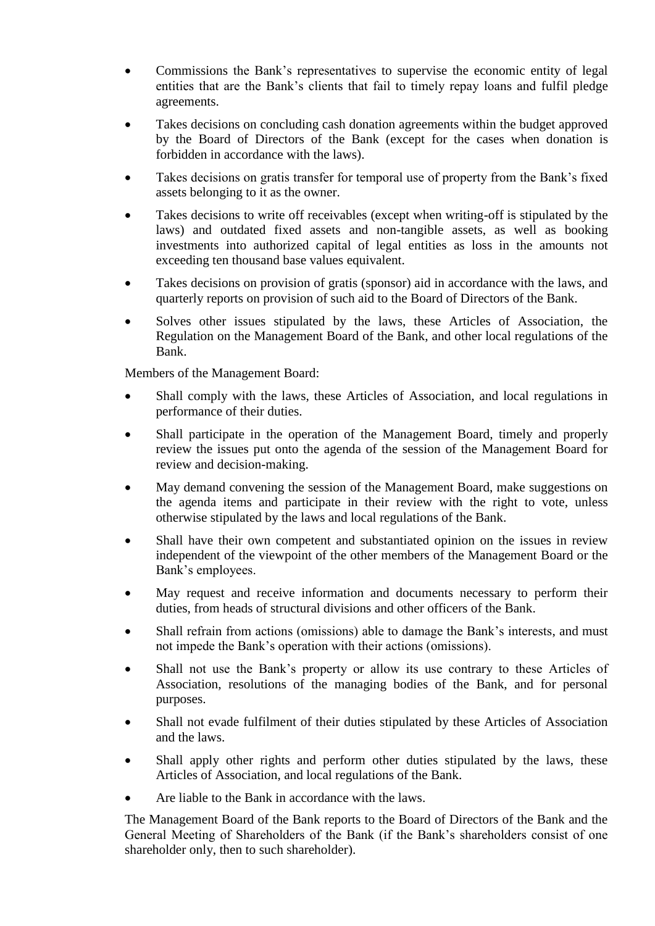- Commissions the Bank"s representatives to supervise the economic entity of legal entities that are the Bank"s clients that fail to timely repay loans and fulfil pledge agreements.
- Takes decisions on concluding cash donation agreements within the budget approved by the Board of Directors of the Bank (except for the cases when donation is forbidden in accordance with the laws).
- Takes decisions on gratis transfer for temporal use of property from the Bank"s fixed assets belonging to it as the owner.
- Takes decisions to write off receivables (except when writing-off is stipulated by the laws) and outdated fixed assets and non-tangible assets, as well as booking investments into authorized capital of legal entities as loss in the amounts not exceeding ten thousand base values equivalent.
- Takes decisions on provision of gratis (sponsor) aid in accordance with the laws, and quarterly reports on provision of such aid to the Board of Directors of the Bank.
- Solves other issues stipulated by the laws, these Articles of Association, the Regulation on the Management Board of the Bank, and other local regulations of the Bank.

Members of the Management Board:

- Shall comply with the laws, these Articles of Association, and local regulations in performance of their duties.
- Shall participate in the operation of the Management Board, timely and properly review the issues put onto the agenda of the session of the Management Board for review and decision-making.
- May demand convening the session of the Management Board, make suggestions on the agenda items and participate in their review with the right to vote, unless otherwise stipulated by the laws and local regulations of the Bank.
- Shall have their own competent and substantiated opinion on the issues in review independent of the viewpoint of the other members of the Management Board or the Bank's employees.
- May request and receive information and documents necessary to perform their duties, from heads of structural divisions and other officers of the Bank.
- Shall refrain from actions (omissions) able to damage the Bank's interests, and must not impede the Bank"s operation with their actions (omissions).
- Shall not use the Bank"s property or allow its use contrary to these Articles of Association, resolutions of the managing bodies of the Bank, and for personal purposes.
- Shall not evade fulfilment of their duties stipulated by these Articles of Association and the laws.
- Shall apply other rights and perform other duties stipulated by the laws, these Articles of Association, and local regulations of the Bank.
- Are liable to the Bank in accordance with the laws.

The Management Board of the Bank reports to the Board of Directors of the Bank and the General Meeting of Shareholders of the Bank (if the Bank"s shareholders consist of one shareholder only, then to such shareholder).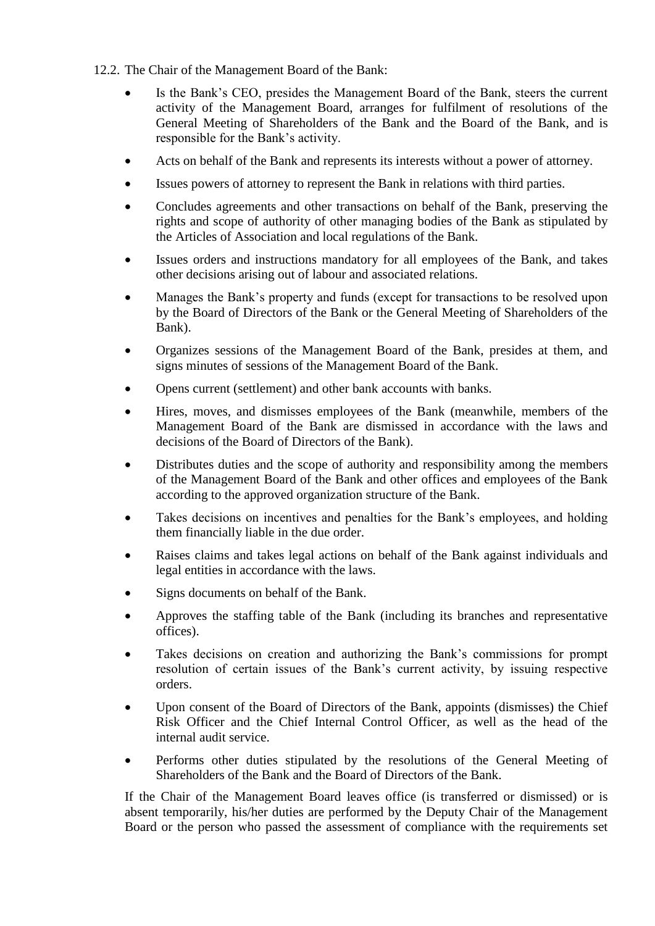- 12.2. The Chair of the Management Board of the Bank:
	- Is the Bank"s CEO, presides the Management Board of the Bank, steers the current activity of the Management Board, arranges for fulfilment of resolutions of the General Meeting of Shareholders of the Bank and the Board of the Bank, and is responsible for the Bank"s activity.
	- Acts on behalf of the Bank and represents its interests without a power of attorney.
	- Issues powers of attorney to represent the Bank in relations with third parties.
	- Concludes agreements and other transactions on behalf of the Bank, preserving the rights and scope of authority of other managing bodies of the Bank as stipulated by the Articles of Association and local regulations of the Bank.
	- Issues orders and instructions mandatory for all employees of the Bank, and takes other decisions arising out of labour and associated relations.
	- Manages the Bank"s property and funds (except for transactions to be resolved upon by the Board of Directors of the Bank or the General Meeting of Shareholders of the Bank).
	- Organizes sessions of the Management Board of the Bank, presides at them, and signs minutes of sessions of the Management Board of the Bank.
	- Opens current (settlement) and other bank accounts with banks.
	- Hires, moves, and dismisses employees of the Bank (meanwhile, members of the Management Board of the Bank are dismissed in accordance with the laws and decisions of the Board of Directors of the Bank).
	- Distributes duties and the scope of authority and responsibility among the members of the Management Board of the Bank and other offices and employees of the Bank according to the approved organization structure of the Bank.
	- Takes decisions on incentives and penalties for the Bank's employees, and holding them financially liable in the due order.
	- Raises claims and takes legal actions on behalf of the Bank against individuals and legal entities in accordance with the laws.
	- Signs documents on behalf of the Bank.
	- Approves the staffing table of the Bank (including its branches and representative offices).
	- Takes decisions on creation and authorizing the Bank"s commissions for prompt resolution of certain issues of the Bank"s current activity, by issuing respective orders.
	- Upon consent of the Board of Directors of the Bank, appoints (dismisses) the Chief Risk Officer and the Chief Internal Control Officer, as well as the head of the internal audit service.
	- Performs other duties stipulated by the resolutions of the General Meeting of Shareholders of the Bank and the Board of Directors of the Bank.

If the Chair of the Management Board leaves office (is transferred or dismissed) or is absent temporarily, his/her duties are performed by the Deputy Chair of the Management Board or the person who passed the assessment of compliance with the requirements set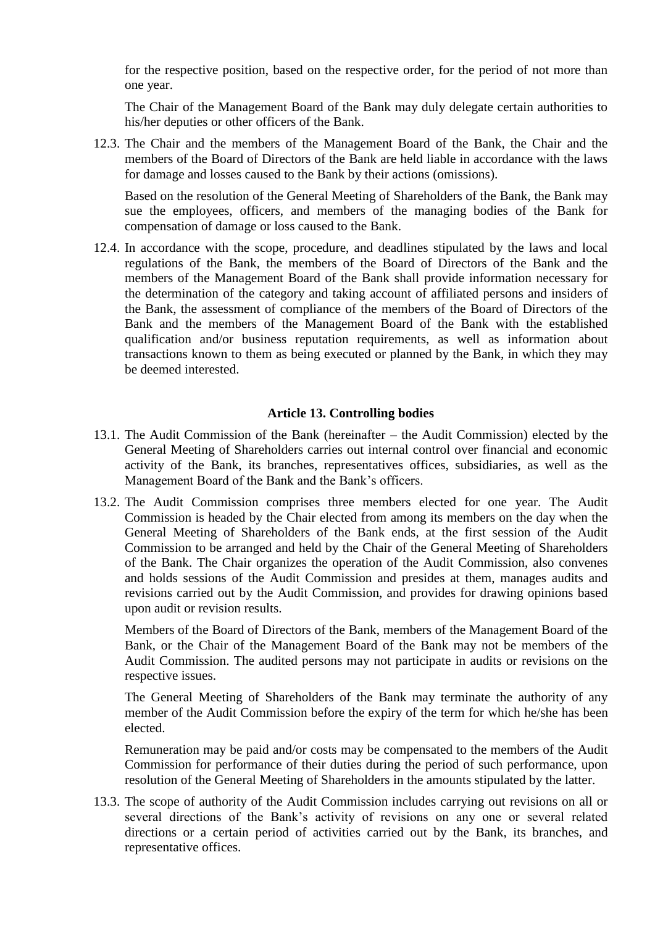for the respective position, based on the respective order, for the period of not more than one year.

The Chair of the Management Board of the Bank may duly delegate certain authorities to his/her deputies or other officers of the Bank.

12.3. The Chair and the members of the Management Board of the Bank, the Chair and the members of the Board of Directors of the Bank are held liable in accordance with the laws for damage and losses caused to the Bank by their actions (omissions).

Based on the resolution of the General Meeting of Shareholders of the Bank, the Bank may sue the employees, officers, and members of the managing bodies of the Bank for compensation of damage or loss caused to the Bank.

12.4. In accordance with the scope, procedure, and deadlines stipulated by the laws and local regulations of the Bank, the members of the Board of Directors of the Bank and the members of the Management Board of the Bank shall provide information necessary for the determination of the category and taking account of affiliated persons and insiders of the Bank, the assessment of compliance of the members of the Board of Directors of the Bank and the members of the Management Board of the Bank with the established qualification and/or business reputation requirements, as well as information about transactions known to them as being executed or planned by the Bank, in which they may be deemed interested.

#### **Article 13. Controlling bodies**

- <span id="page-35-0"></span>13.1. The Audit Commission of the Bank (hereinafter – the Audit Commission) elected by the General Meeting of Shareholders carries out internal control over financial and economic activity of the Bank, its branches, representatives offices, subsidiaries, as well as the Management Board of the Bank and the Bank"s officers.
- 13.2. The Audit Commission comprises three members elected for one year. The Audit Commission is headed by the Chair elected from among its members on the day when the General Meeting of Shareholders of the Bank ends, at the first session of the Audit Commission to be arranged and held by the Chair of the General Meeting of Shareholders of the Bank. The Chair organizes the operation of the Audit Commission, also convenes and holds sessions of the Audit Commission and presides at them, manages audits and revisions carried out by the Audit Commission, and provides for drawing opinions based upon audit or revision results.

Members of the Board of Directors of the Bank, members of the Management Board of the Bank, or the Chair of the Management Board of the Bank may not be members of the Audit Commission. The audited persons may not participate in audits or revisions on the respective issues.

The General Meeting of Shareholders of the Bank may terminate the authority of any member of the Audit Commission before the expiry of the term for which he/she has been elected.

Remuneration may be paid and/or costs may be compensated to the members of the Audit Commission for performance of their duties during the period of such performance, upon resolution of the General Meeting of Shareholders in the amounts stipulated by the latter.

13.3. The scope of authority of the Audit Commission includes carrying out revisions on all or several directions of the Bank"s activity of revisions on any one or several related directions or a certain period of activities carried out by the Bank, its branches, and representative offices.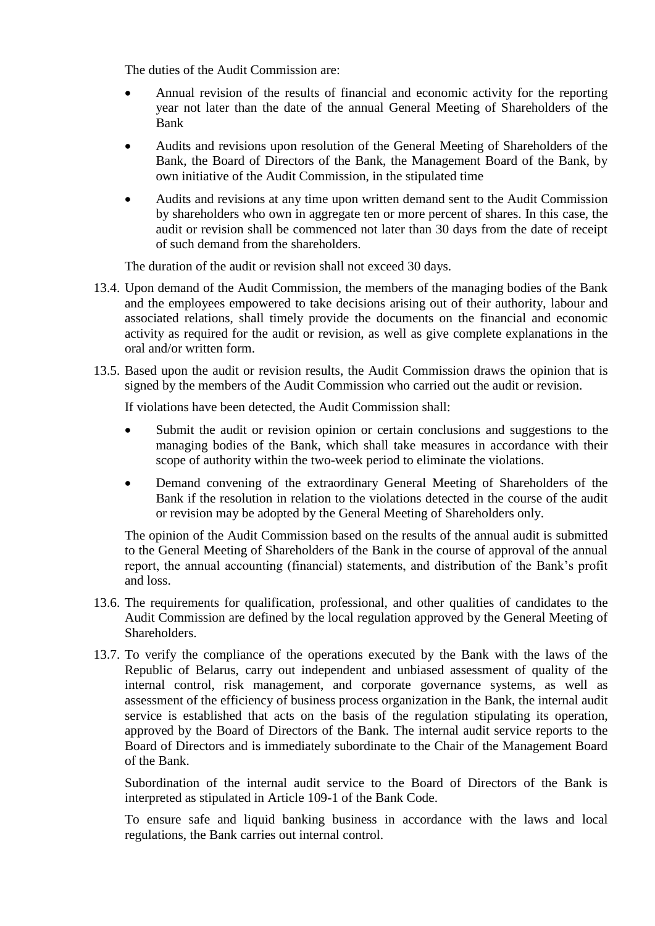The duties of the Audit Commission are:

- Annual revision of the results of financial and economic activity for the reporting year not later than the date of the annual General Meeting of Shareholders of the Bank
- Audits and revisions upon resolution of the General Meeting of Shareholders of the Bank, the Board of Directors of the Bank, the Management Board of the Bank, by own initiative of the Audit Commission, in the stipulated time
- Audits and revisions at any time upon written demand sent to the Audit Commission by shareholders who own in aggregate ten or more percent of shares. In this case, the audit or revision shall be commenced not later than 30 days from the date of receipt of such demand from the shareholders.

The duration of the audit or revision shall not exceed 30 days.

- 13.4. Upon demand of the Audit Commission, the members of the managing bodies of the Bank and the employees empowered to take decisions arising out of their authority, labour and associated relations, shall timely provide the documents on the financial and economic activity as required for the audit or revision, as well as give complete explanations in the oral and/or written form.
- 13.5. Based upon the audit or revision results, the Audit Commission draws the opinion that is signed by the members of the Audit Commission who carried out the audit or revision.

If violations have been detected, the Audit Commission shall:

- Submit the audit or revision opinion or certain conclusions and suggestions to the managing bodies of the Bank, which shall take measures in accordance with their scope of authority within the two-week period to eliminate the violations.
- Demand convening of the extraordinary General Meeting of Shareholders of the Bank if the resolution in relation to the violations detected in the course of the audit or revision may be adopted by the General Meeting of Shareholders only.

The opinion of the Audit Commission based on the results of the annual audit is submitted to the General Meeting of Shareholders of the Bank in the course of approval of the annual report, the annual accounting (financial) statements, and distribution of the Bank"s profit and loss.

- 13.6. The requirements for qualification, professional, and other qualities of candidates to the Audit Commission are defined by the local regulation approved by the General Meeting of Shareholders.
- 13.7. To verify the compliance of the operations executed by the Bank with the laws of the Republic of Belarus, carry out independent and unbiased assessment of quality of the internal control, risk management, and corporate governance systems, as well as assessment of the efficiency of business process organization in the Bank, the internal audit service is established that acts on the basis of the regulation stipulating its operation, approved by the Board of Directors of the Bank. The internal audit service reports to the Board of Directors and is immediately subordinate to the Chair of the Management Board of the Bank.

Subordination of the internal audit service to the Board of Directors of the Bank is interpreted as stipulated in Article 109-1 of the Bank Code.

To ensure safe and liquid banking business in accordance with the laws and local regulations, the Bank carries out internal control.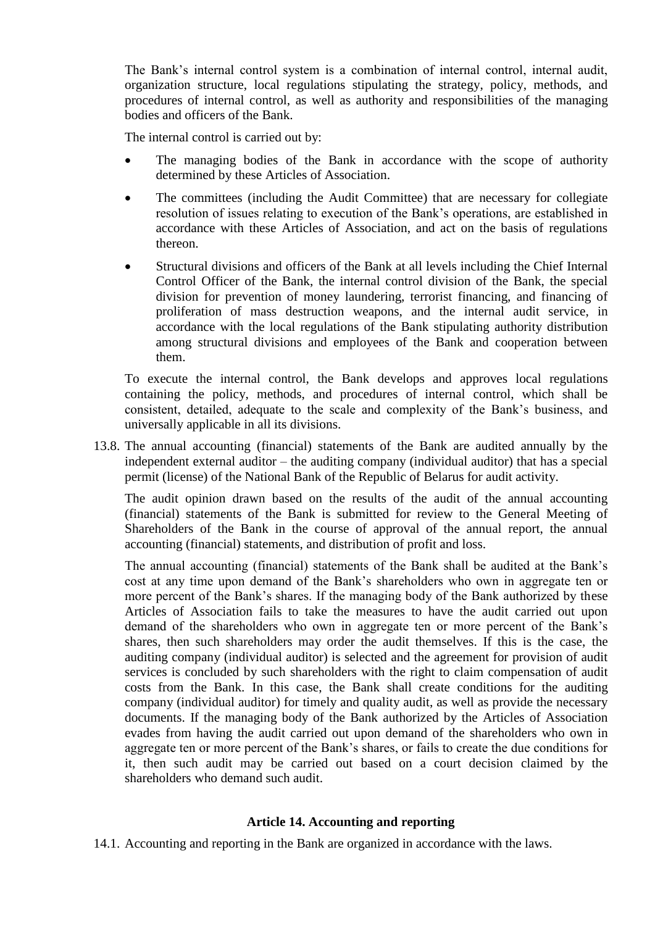The Bank"s internal control system is a combination of internal control, internal audit, organization structure, local regulations stipulating the strategy, policy, methods, and procedures of internal control, as well as authority and responsibilities of the managing bodies and officers of the Bank.

The internal control is carried out by:

- The managing bodies of the Bank in accordance with the scope of authority determined by these Articles of Association.
- The committees (including the Audit Committee) that are necessary for collegiate resolution of issues relating to execution of the Bank"s operations, are established in accordance with these Articles of Association, and act on the basis of regulations thereon.
- Structural divisions and officers of the Bank at all levels including the Chief Internal Control Officer of the Bank, the internal control division of the Bank, the special division for prevention of money laundering, terrorist financing, and financing of proliferation of mass destruction weapons, and the internal audit service, in accordance with the local regulations of the Bank stipulating authority distribution among structural divisions and employees of the Bank and cooperation between them.

To execute the internal control, the Bank develops and approves local regulations containing the policy, methods, and procedures of internal control, which shall be consistent, detailed, adequate to the scale and complexity of the Bank"s business, and universally applicable in all its divisions.

13.8. The annual accounting (financial) statements of the Bank are audited annually by the independent external auditor – the auditing company (individual auditor) that has a special permit (license) of the National Bank of the Republic of Belarus for audit activity.

The audit opinion drawn based on the results of the audit of the annual accounting (financial) statements of the Bank is submitted for review to the General Meeting of Shareholders of the Bank in the course of approval of the annual report, the annual accounting (financial) statements, and distribution of profit and loss.

The annual accounting (financial) statements of the Bank shall be audited at the Bank"s cost at any time upon demand of the Bank"s shareholders who own in aggregate ten or more percent of the Bank's shares. If the managing body of the Bank authorized by these Articles of Association fails to take the measures to have the audit carried out upon demand of the shareholders who own in aggregate ten or more percent of the Bank"s shares, then such shareholders may order the audit themselves. If this is the case, the auditing company (individual auditor) is selected and the agreement for provision of audit services is concluded by such shareholders with the right to claim compensation of audit costs from the Bank. In this case, the Bank shall create conditions for the auditing company (individual auditor) for timely and quality audit, as well as provide the necessary documents. If the managing body of the Bank authorized by the Articles of Association evades from having the audit carried out upon demand of the shareholders who own in aggregate ten or more percent of the Bank"s shares, or fails to create the due conditions for it, then such audit may be carried out based on a court decision claimed by the shareholders who demand such audit.

#### **Article 14. Accounting and reporting**

<span id="page-37-0"></span>14.1. Accounting and reporting in the Bank are organized in accordance with the laws.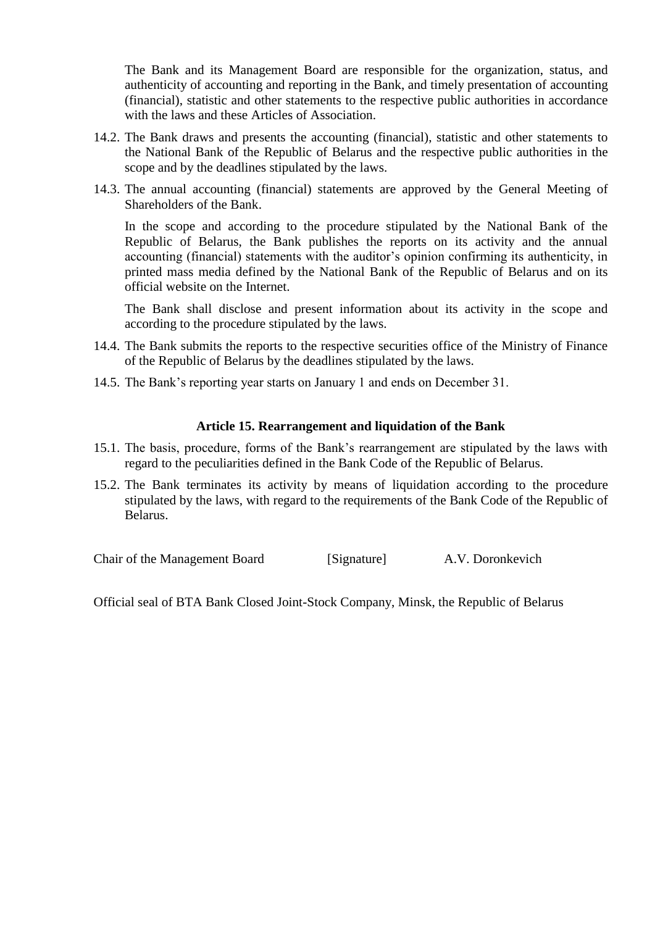The Bank and its Management Board are responsible for the organization, status, and authenticity of accounting and reporting in the Bank, and timely presentation of accounting (financial), statistic and other statements to the respective public authorities in accordance with the laws and these Articles of Association.

- 14.2. The Bank draws and presents the accounting (financial), statistic and other statements to the National Bank of the Republic of Belarus and the respective public authorities in the scope and by the deadlines stipulated by the laws.
- 14.3. The annual accounting (financial) statements are approved by the General Meeting of Shareholders of the Bank.

In the scope and according to the procedure stipulated by the National Bank of the Republic of Belarus, the Bank publishes the reports on its activity and the annual accounting (financial) statements with the auditor's opinion confirming its authenticity, in printed mass media defined by the National Bank of the Republic of Belarus and on its official website on the Internet.

The Bank shall disclose and present information about its activity in the scope and according to the procedure stipulated by the laws.

- 14.4. The Bank submits the reports to the respective securities office of the Ministry of Finance of the Republic of Belarus by the deadlines stipulated by the laws.
- 14.5. The Bank"s reporting year starts on January 1 and ends on December 31.

#### **Article 15. Rearrangement and liquidation of the Bank**

- <span id="page-38-0"></span>15.1. The basis, procedure, forms of the Bank"s rearrangement are stipulated by the laws with regard to the peculiarities defined in the Bank Code of the Republic of Belarus.
- 15.2. The Bank terminates its activity by means of liquidation according to the procedure stipulated by the laws, with regard to the requirements of the Bank Code of the Republic of Belarus.

Chair of the Management Board [Signature] A.V. Doronkevich

Official seal of BTA Bank Closed Joint-Stock Company, Minsk, the Republic of Belarus